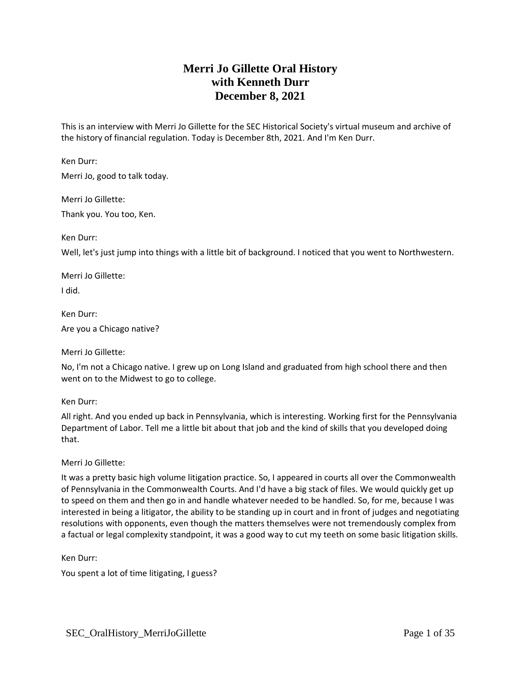# **Merri Jo Gillette Oral History with Kenneth Durr December 8, 2021**

This is an interview with Merri Jo Gillette for the SEC Historical Society's virtual museum and archive of the history of financial regulation. Today is December 8th, 2021. And I'm Ken Durr.

Ken Durr:

Merri Jo, good to talk today.

Merri Jo Gillette:

Thank you. You too, Ken.

Ken Durr:

Well, let's just jump into things with a little bit of background. I noticed that you went to Northwestern.

Merri Jo Gillette: I did.

Ken Durr: Are you a Chicago native?

Merri Jo Gillette:

No, I'm not a Chicago native. I grew up on Long Island and graduated from high school there and then went on to the Midwest to go to college.

Ken Durr:

All right. And you ended up back in Pennsylvania, which is interesting. Working first for the Pennsylvania Department of Labor. Tell me a little bit about that job and the kind of skills that you developed doing that.

Merri Jo Gillette:

It was a pretty basic high volume litigation practice. So, I appeared in courts all over the Commonwealth of Pennsylvania in the Commonwealth Courts. And I'd have a big stack of files. We would quickly get up to speed on them and then go in and handle whatever needed to be handled. So, for me, because I was interested in being a litigator, the ability to be standing up in court and in front of judges and negotiating resolutions with opponents, even though the matters themselves were not tremendously complex from a factual or legal complexity standpoint, it was a good way to cut my teeth on some basic litigation skills.

Ken Durr:

You spent a lot of time litigating, I guess?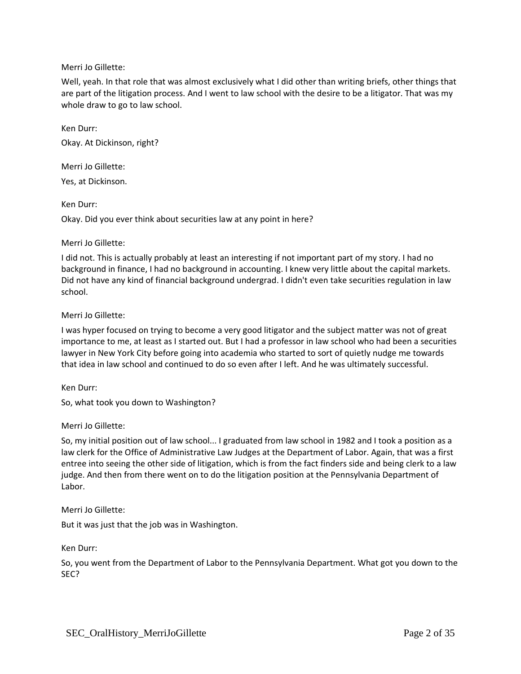Well, yeah. In that role that was almost exclusively what I did other than writing briefs, other things that are part of the litigation process. And I went to law school with the desire to be a litigator. That was my whole draw to go to law school.

Ken Durr: Okay. At Dickinson, right?

Merri Jo Gillette:

Yes, at Dickinson.

Ken Durr:

Okay. Did you ever think about securities law at any point in here?

## Merri Jo Gillette:

I did not. This is actually probably at least an interesting if not important part of my story. I had no background in finance, I had no background in accounting. I knew very little about the capital markets. Did not have any kind of financial background undergrad. I didn't even take securities regulation in law school.

## Merri Jo Gillette:

I was hyper focused on trying to become a very good litigator and the subject matter was not of great importance to me, at least as I started out. But I had a professor in law school who had been a securities lawyer in New York City before going into academia who started to sort of quietly nudge me towards that idea in law school and continued to do so even after I left. And he was ultimately successful.

Ken Durr:

So, what took you down to Washington?

## Merri Jo Gillette:

So, my initial position out of law school... I graduated from law school in 1982 and I took a position as a law clerk for the Office of Administrative Law Judges at the Department of Labor. Again, that was a first entree into seeing the other side of litigation, which is from the fact finders side and being clerk to a law judge. And then from there went on to do the litigation position at the Pennsylvania Department of Labor.

Merri Jo Gillette:

But it was just that the job was in Washington.

Ken Durr:

So, you went from the Department of Labor to the Pennsylvania Department. What got you down to the SEC?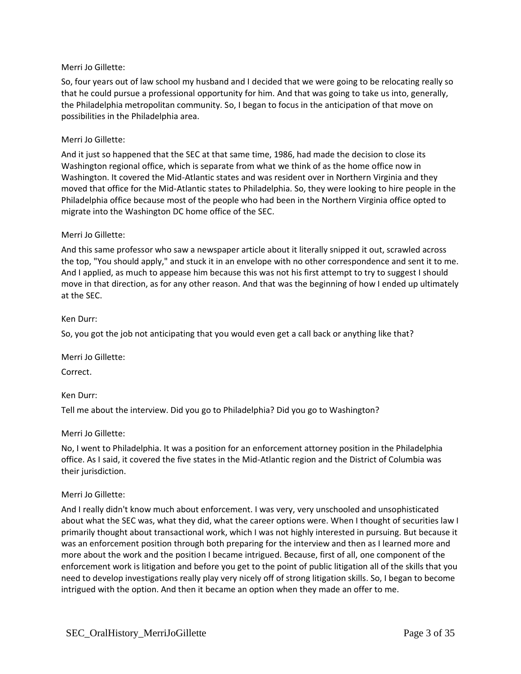So, four years out of law school my husband and I decided that we were going to be relocating really so that he could pursue a professional opportunity for him. And that was going to take us into, generally, the Philadelphia metropolitan community. So, I began to focus in the anticipation of that move on possibilities in the Philadelphia area.

### Merri Jo Gillette:

And it just so happened that the SEC at that same time, 1986, had made the decision to close its Washington regional office, which is separate from what we think of as the home office now in Washington. It covered the Mid-Atlantic states and was resident over in Northern Virginia and they moved that office for the Mid-Atlantic states to Philadelphia. So, they were looking to hire people in the Philadelphia office because most of the people who had been in the Northern Virginia office opted to migrate into the Washington DC home office of the SEC.

### Merri Jo Gillette:

And this same professor who saw a newspaper article about it literally snipped it out, scrawled across the top, "You should apply," and stuck it in an envelope with no other correspondence and sent it to me. And I applied, as much to appease him because this was not his first attempt to try to suggest I should move in that direction, as for any other reason. And that was the beginning of how I ended up ultimately at the SEC.

### Ken Durr:

So, you got the job not anticipating that you would even get a call back or anything like that?

Merri Jo Gillette:

Correct.

## Ken Durr:

Tell me about the interview. Did you go to Philadelphia? Did you go to Washington?

### Merri Jo Gillette:

No, I went to Philadelphia. It was a position for an enforcement attorney position in the Philadelphia office. As I said, it covered the five states in the Mid-Atlantic region and the District of Columbia was their jurisdiction.

### Merri Jo Gillette:

And I really didn't know much about enforcement. I was very, very unschooled and unsophisticated about what the SEC was, what they did, what the career options were. When I thought of securities law I primarily thought about transactional work, which I was not highly interested in pursuing. But because it was an enforcement position through both preparing for the interview and then as I learned more and more about the work and the position I became intrigued. Because, first of all, one component of the enforcement work is litigation and before you get to the point of public litigation all of the skills that you need to develop investigations really play very nicely off of strong litigation skills. So, I began to become intrigued with the option. And then it became an option when they made an offer to me.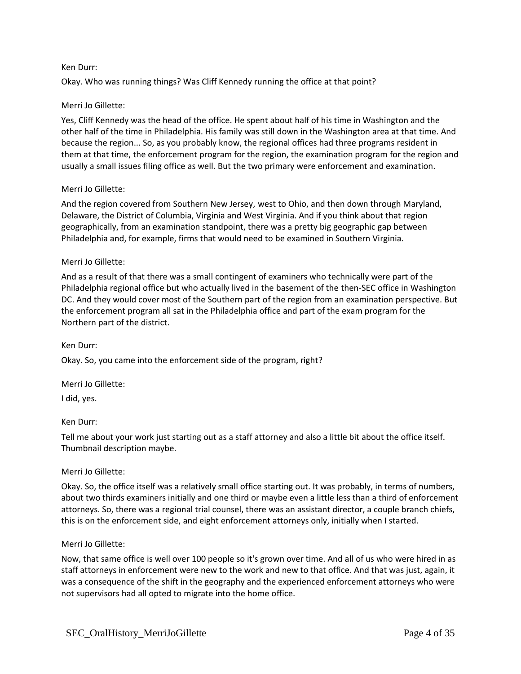### Ken Durr:

Okay. Who was running things? Was Cliff Kennedy running the office at that point?

## Merri Jo Gillette:

Yes, Cliff Kennedy was the head of the office. He spent about half of his time in Washington and the other half of the time in Philadelphia. His family was still down in the Washington area at that time. And because the region... So, as you probably know, the regional offices had three programs resident in them at that time, the enforcement program for the region, the examination program for the region and usually a small issues filing office as well. But the two primary were enforcement and examination.

## Merri Jo Gillette:

And the region covered from Southern New Jersey, west to Ohio, and then down through Maryland, Delaware, the District of Columbia, Virginia and West Virginia. And if you think about that region geographically, from an examination standpoint, there was a pretty big geographic gap between Philadelphia and, for example, firms that would need to be examined in Southern Virginia.

### Merri Jo Gillette:

And as a result of that there was a small contingent of examiners who technically were part of the Philadelphia regional office but who actually lived in the basement of the then-SEC office in Washington DC. And they would cover most of the Southern part of the region from an examination perspective. But the enforcement program all sat in the Philadelphia office and part of the exam program for the Northern part of the district.

### Ken Durr:

Okay. So, you came into the enforcement side of the program, right?

Merri Jo Gillette:

I did, yes.

### Ken Durr:

Tell me about your work just starting out as a staff attorney and also a little bit about the office itself. Thumbnail description maybe.

## Merri Jo Gillette:

Okay. So, the office itself was a relatively small office starting out. It was probably, in terms of numbers, about two thirds examiners initially and one third or maybe even a little less than a third of enforcement attorneys. So, there was a regional trial counsel, there was an assistant director, a couple branch chiefs, this is on the enforcement side, and eight enforcement attorneys only, initially when I started.

### Merri Jo Gillette:

Now, that same office is well over 100 people so it's grown over time. And all of us who were hired in as staff attorneys in enforcement were new to the work and new to that office. And that was just, again, it was a consequence of the shift in the geography and the experienced enforcement attorneys who were not supervisors had all opted to migrate into the home office.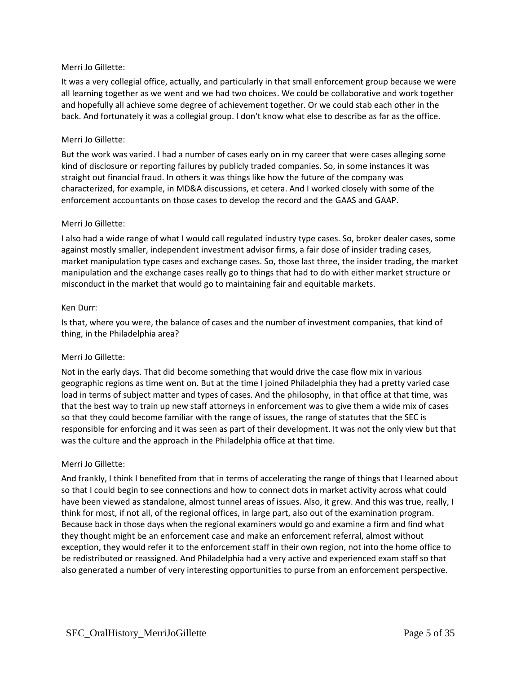It was a very collegial office, actually, and particularly in that small enforcement group because we were all learning together as we went and we had two choices. We could be collaborative and work together and hopefully all achieve some degree of achievement together. Or we could stab each other in the back. And fortunately it was a collegial group. I don't know what else to describe as far as the office.

### Merri Jo Gillette:

But the work was varied. I had a number of cases early on in my career that were cases alleging some kind of disclosure or reporting failures by publicly traded companies. So, in some instances it was straight out financial fraud. In others it was things like how the future of the company was characterized, for example, in MD&A discussions, et cetera. And I worked closely with some of the enforcement accountants on those cases to develop the record and the GAAS and GAAP.

### Merri Jo Gillette:

I also had a wide range of what I would call regulated industry type cases. So, broker dealer cases, some against mostly smaller, independent investment advisor firms, a fair dose of insider trading cases, market manipulation type cases and exchange cases. So, those last three, the insider trading, the market manipulation and the exchange cases really go to things that had to do with either market structure or misconduct in the market that would go to maintaining fair and equitable markets.

### Ken Durr:

Is that, where you were, the balance of cases and the number of investment companies, that kind of thing, in the Philadelphia area?

## Merri Jo Gillette:

Not in the early days. That did become something that would drive the case flow mix in various geographic regions as time went on. But at the time I joined Philadelphia they had a pretty varied case load in terms of subject matter and types of cases. And the philosophy, in that office at that time, was that the best way to train up new staff attorneys in enforcement was to give them a wide mix of cases so that they could become familiar with the range of issues, the range of statutes that the SEC is responsible for enforcing and it was seen as part of their development. It was not the only view but that was the culture and the approach in the Philadelphia office at that time.

### Merri Jo Gillette:

And frankly, I think I benefited from that in terms of accelerating the range of things that I learned about so that I could begin to see connections and how to connect dots in market activity across what could have been viewed as standalone, almost tunnel areas of issues. Also, it grew. And this was true, really, I think for most, if not all, of the regional offices, in large part, also out of the examination program. Because back in those days when the regional examiners would go and examine a firm and find what they thought might be an enforcement case and make an enforcement referral, almost without exception, they would refer it to the enforcement staff in their own region, not into the home office to be redistributed or reassigned. And Philadelphia had a very active and experienced exam staff so that also generated a number of very interesting opportunities to purse from an enforcement perspective.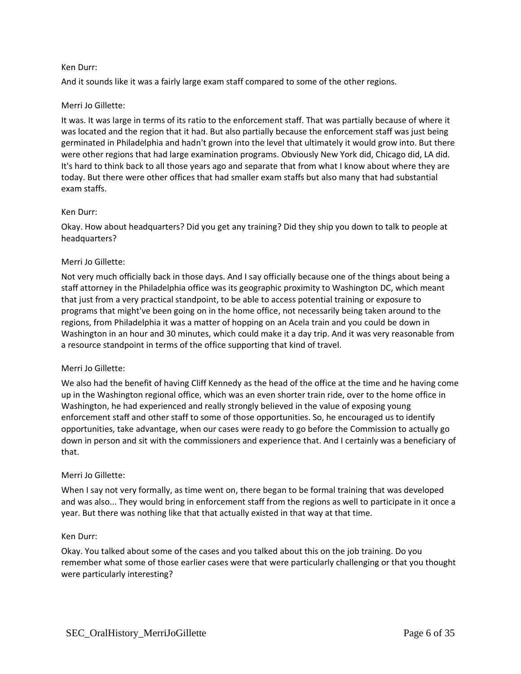### Ken Durr:

And it sounds like it was a fairly large exam staff compared to some of the other regions.

## Merri Jo Gillette:

It was. It was large in terms of its ratio to the enforcement staff. That was partially because of where it was located and the region that it had. But also partially because the enforcement staff was just being germinated in Philadelphia and hadn't grown into the level that ultimately it would grow into. But there were other regions that had large examination programs. Obviously New York did, Chicago did, LA did. It's hard to think back to all those years ago and separate that from what I know about where they are today. But there were other offices that had smaller exam staffs but also many that had substantial exam staffs.

### Ken Durr:

Okay. How about headquarters? Did you get any training? Did they ship you down to talk to people at headquarters?

### Merri Jo Gillette:

Not very much officially back in those days. And I say officially because one of the things about being a staff attorney in the Philadelphia office was its geographic proximity to Washington DC, which meant that just from a very practical standpoint, to be able to access potential training or exposure to programs that might've been going on in the home office, not necessarily being taken around to the regions, from Philadelphia it was a matter of hopping on an Acela train and you could be down in Washington in an hour and 30 minutes, which could make it a day trip. And it was very reasonable from a resource standpoint in terms of the office supporting that kind of travel.

### Merri Jo Gillette:

We also had the benefit of having Cliff Kennedy as the head of the office at the time and he having come up in the Washington regional office, which was an even shorter train ride, over to the home office in Washington, he had experienced and really strongly believed in the value of exposing young enforcement staff and other staff to some of those opportunities. So, he encouraged us to identify opportunities, take advantage, when our cases were ready to go before the Commission to actually go down in person and sit with the commissioners and experience that. And I certainly was a beneficiary of that.

### Merri Jo Gillette:

When I say not very formally, as time went on, there began to be formal training that was developed and was also... They would bring in enforcement staff from the regions as well to participate in it once a year. But there was nothing like that that actually existed in that way at that time.

### Ken Durr:

Okay. You talked about some of the cases and you talked about this on the job training. Do you remember what some of those earlier cases were that were particularly challenging or that you thought were particularly interesting?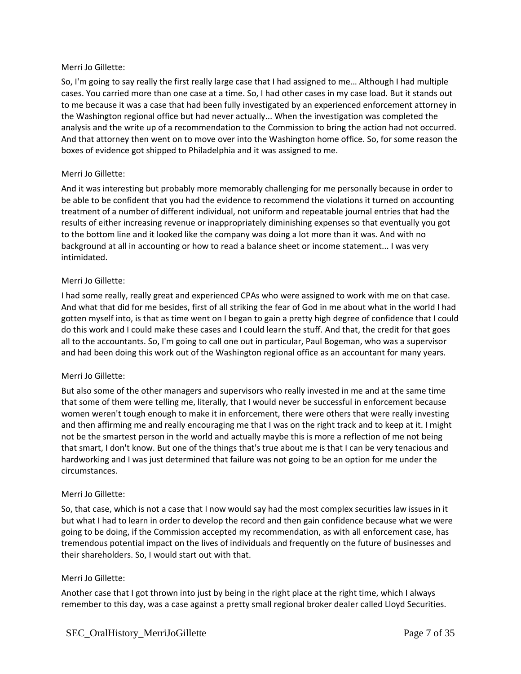So, I'm going to say really the first really large case that I had assigned to me… Although I had multiple cases. You carried more than one case at a time. So, I had other cases in my case load. But it stands out to me because it was a case that had been fully investigated by an experienced enforcement attorney in the Washington regional office but had never actually... When the investigation was completed the analysis and the write up of a recommendation to the Commission to bring the action had not occurred. And that attorney then went on to move over into the Washington home office. So, for some reason the boxes of evidence got shipped to Philadelphia and it was assigned to me.

## Merri Jo Gillette:

And it was interesting but probably more memorably challenging for me personally because in order to be able to be confident that you had the evidence to recommend the violations it turned on accounting treatment of a number of different individual, not uniform and repeatable journal entries that had the results of either increasing revenue or inappropriately diminishing expenses so that eventually you got to the bottom line and it looked like the company was doing a lot more than it was. And with no background at all in accounting or how to read a balance sheet or income statement... I was very intimidated.

## Merri Jo Gillette:

I had some really, really great and experienced CPAs who were assigned to work with me on that case. And what that did for me besides, first of all striking the fear of God in me about what in the world I had gotten myself into, is that as time went on I began to gain a pretty high degree of confidence that I could do this work and I could make these cases and I could learn the stuff. And that, the credit for that goes all to the accountants. So, I'm going to call one out in particular, Paul Bogeman, who was a supervisor and had been doing this work out of the Washington regional office as an accountant for many years.

## Merri Jo Gillette:

But also some of the other managers and supervisors who really invested in me and at the same time that some of them were telling me, literally, that I would never be successful in enforcement because women weren't tough enough to make it in enforcement, there were others that were really investing and then affirming me and really encouraging me that I was on the right track and to keep at it. I might not be the smartest person in the world and actually maybe this is more a reflection of me not being that smart, I don't know. But one of the things that's true about me is that I can be very tenacious and hardworking and I was just determined that failure was not going to be an option for me under the circumstances.

## Merri Jo Gillette:

So, that case, which is not a case that I now would say had the most complex securities law issues in it but what I had to learn in order to develop the record and then gain confidence because what we were going to be doing, if the Commission accepted my recommendation, as with all enforcement case, has tremendous potential impact on the lives of individuals and frequently on the future of businesses and their shareholders. So, I would start out with that.

## Merri Jo Gillette:

Another case that I got thrown into just by being in the right place at the right time, which I always remember to this day, was a case against a pretty small regional broker dealer called Lloyd Securities.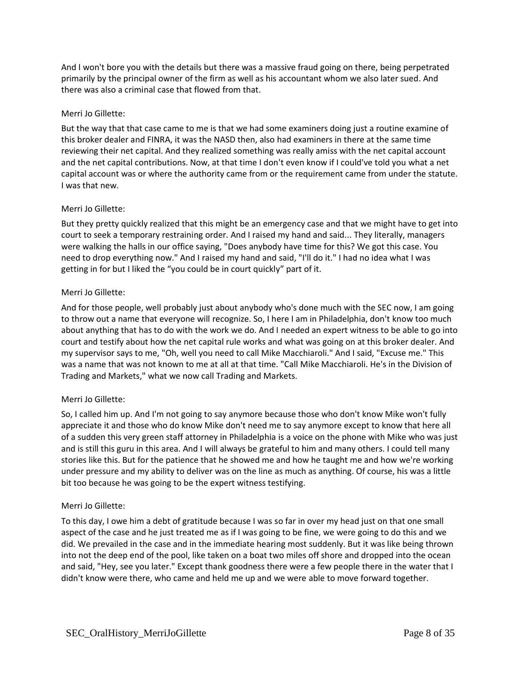And I won't bore you with the details but there was a massive fraud going on there, being perpetrated primarily by the principal owner of the firm as well as his accountant whom we also later sued. And there was also a criminal case that flowed from that.

## Merri Jo Gillette:

But the way that that case came to me is that we had some examiners doing just a routine examine of this broker dealer and FINRA, it was the NASD then, also had examiners in there at the same time reviewing their net capital. And they realized something was really amiss with the net capital account and the net capital contributions. Now, at that time I don't even know if I could've told you what a net capital account was or where the authority came from or the requirement came from under the statute. I was that new.

## Merri Jo Gillette:

But they pretty quickly realized that this might be an emergency case and that we might have to get into court to seek a temporary restraining order. And I raised my hand and said... They literally, managers were walking the halls in our office saying, "Does anybody have time for this? We got this case. You need to drop everything now." And I raised my hand and said, "I'll do it." I had no idea what I was getting in for but I liked the "you could be in court quickly" part of it.

## Merri Jo Gillette:

And for those people, well probably just about anybody who's done much with the SEC now, I am going to throw out a name that everyone will recognize. So, I here I am in Philadelphia, don't know too much about anything that has to do with the work we do. And I needed an expert witness to be able to go into court and testify about how the net capital rule works and what was going on at this broker dealer. And my supervisor says to me, "Oh, well you need to call Mike Macchiaroli." And I said, "Excuse me." This was a name that was not known to me at all at that time. "Call Mike Macchiaroli. He's in the Division of Trading and Markets," what we now call Trading and Markets.

## Merri Jo Gillette:

So, I called him up. And I'm not going to say anymore because those who don't know Mike won't fully appreciate it and those who do know Mike don't need me to say anymore except to know that here all of a sudden this very green staff attorney in Philadelphia is a voice on the phone with Mike who was just and is still this guru in this area. And I will always be grateful to him and many others. I could tell many stories like this. But for the patience that he showed me and how he taught me and how we're working under pressure and my ability to deliver was on the line as much as anything. Of course, his was a little bit too because he was going to be the expert witness testifying.

## Merri Jo Gillette:

To this day, I owe him a debt of gratitude because I was so far in over my head just on that one small aspect of the case and he just treated me as if I was going to be fine, we were going to do this and we did. We prevailed in the case and in the immediate hearing most suddenly. But it was like being thrown into not the deep end of the pool, like taken on a boat two miles off shore and dropped into the ocean and said, "Hey, see you later." Except thank goodness there were a few people there in the water that I didn't know were there, who came and held me up and we were able to move forward together.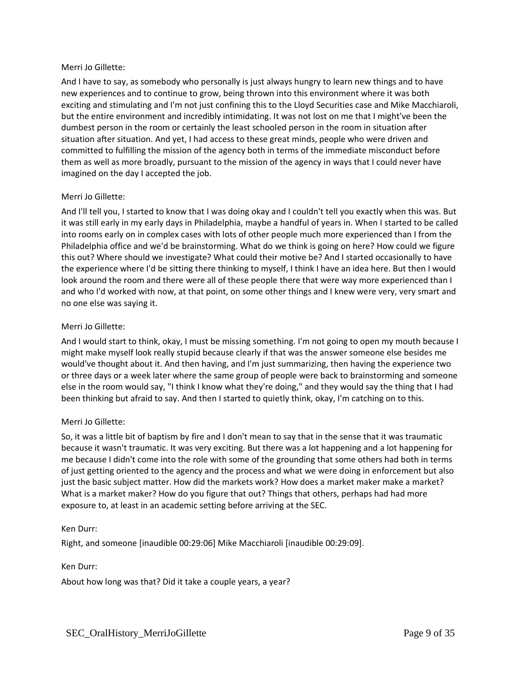And I have to say, as somebody who personally is just always hungry to learn new things and to have new experiences and to continue to grow, being thrown into this environment where it was both exciting and stimulating and I'm not just confining this to the Lloyd Securities case and Mike Macchiaroli, but the entire environment and incredibly intimidating. It was not lost on me that I might've been the dumbest person in the room or certainly the least schooled person in the room in situation after situation after situation. And yet, I had access to these great minds, people who were driven and committed to fulfilling the mission of the agency both in terms of the immediate misconduct before them as well as more broadly, pursuant to the mission of the agency in ways that I could never have imagined on the day I accepted the job.

## Merri Jo Gillette:

And I'll tell you, I started to know that I was doing okay and I couldn't tell you exactly when this was. But it was still early in my early days in Philadelphia, maybe a handful of years in. When I started to be called into rooms early on in complex cases with lots of other people much more experienced than I from the Philadelphia office and we'd be brainstorming. What do we think is going on here? How could we figure this out? Where should we investigate? What could their motive be? And I started occasionally to have the experience where I'd be sitting there thinking to myself, I think I have an idea here. But then I would look around the room and there were all of these people there that were way more experienced than I and who I'd worked with now, at that point, on some other things and I knew were very, very smart and no one else was saying it.

## Merri Jo Gillette:

And I would start to think, okay, I must be missing something. I'm not going to open my mouth because I might make myself look really stupid because clearly if that was the answer someone else besides me would've thought about it. And then having, and I'm just summarizing, then having the experience two or three days or a week later where the same group of people were back to brainstorming and someone else in the room would say, "I think I know what they're doing," and they would say the thing that I had been thinking but afraid to say. And then I started to quietly think, okay, I'm catching on to this.

## Merri Jo Gillette:

So, it was a little bit of baptism by fire and I don't mean to say that in the sense that it was traumatic because it wasn't traumatic. It was very exciting. But there was a lot happening and a lot happening for me because I didn't come into the role with some of the grounding that some others had both in terms of just getting oriented to the agency and the process and what we were doing in enforcement but also just the basic subject matter. How did the markets work? How does a market maker make a market? What is a market maker? How do you figure that out? Things that others, perhaps had had more exposure to, at least in an academic setting before arriving at the SEC.

## Ken Durr:

Right, and someone [inaudible 00:29:06] Mike Macchiaroli [inaudible 00:29:09].

## Ken Durr:

About how long was that? Did it take a couple years, a year?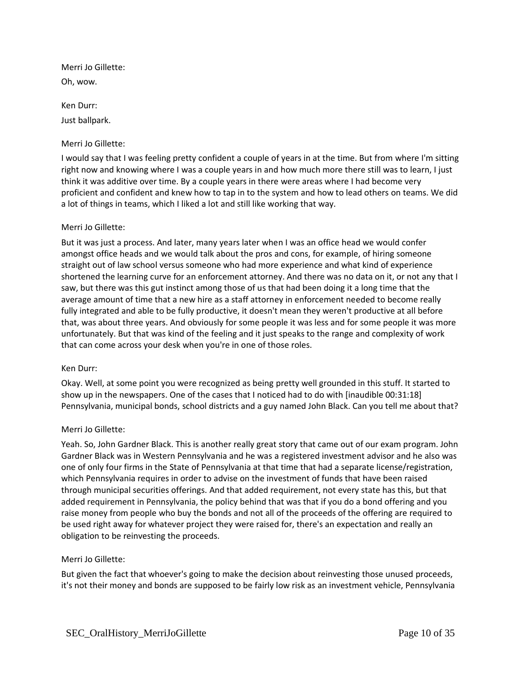Merri Jo Gillette: Oh, wow.

Ken Durr: Just ballpark.

## Merri Jo Gillette:

I would say that I was feeling pretty confident a couple of years in at the time. But from where I'm sitting right now and knowing where I was a couple years in and how much more there still was to learn, I just think it was additive over time. By a couple years in there were areas where I had become very proficient and confident and knew how to tap in to the system and how to lead others on teams. We did a lot of things in teams, which I liked a lot and still like working that way.

### Merri Jo Gillette:

But it was just a process. And later, many years later when I was an office head we would confer amongst office heads and we would talk about the pros and cons, for example, of hiring someone straight out of law school versus someone who had more experience and what kind of experience shortened the learning curve for an enforcement attorney. And there was no data on it, or not any that I saw, but there was this gut instinct among those of us that had been doing it a long time that the average amount of time that a new hire as a staff attorney in enforcement needed to become really fully integrated and able to be fully productive, it doesn't mean they weren't productive at all before that, was about three years. And obviously for some people it was less and for some people it was more unfortunately. But that was kind of the feeling and it just speaks to the range and complexity of work that can come across your desk when you're in one of those roles.

### Ken Durr:

Okay. Well, at some point you were recognized as being pretty well grounded in this stuff. It started to show up in the newspapers. One of the cases that I noticed had to do with [inaudible 00:31:18] Pennsylvania, municipal bonds, school districts and a guy named John Black. Can you tell me about that?

### Merri Jo Gillette:

Yeah. So, John Gardner Black. This is another really great story that came out of our exam program. John Gardner Black was in Western Pennsylvania and he was a registered investment advisor and he also was one of only four firms in the State of Pennsylvania at that time that had a separate license/registration, which Pennsylvania requires in order to advise on the investment of funds that have been raised through municipal securities offerings. And that added requirement, not every state has this, but that added requirement in Pennsylvania, the policy behind that was that if you do a bond offering and you raise money from people who buy the bonds and not all of the proceeds of the offering are required to be used right away for whatever project they were raised for, there's an expectation and really an obligation to be reinvesting the proceeds.

### Merri Jo Gillette:

But given the fact that whoever's going to make the decision about reinvesting those unused proceeds, it's not their money and bonds are supposed to be fairly low risk as an investment vehicle, Pennsylvania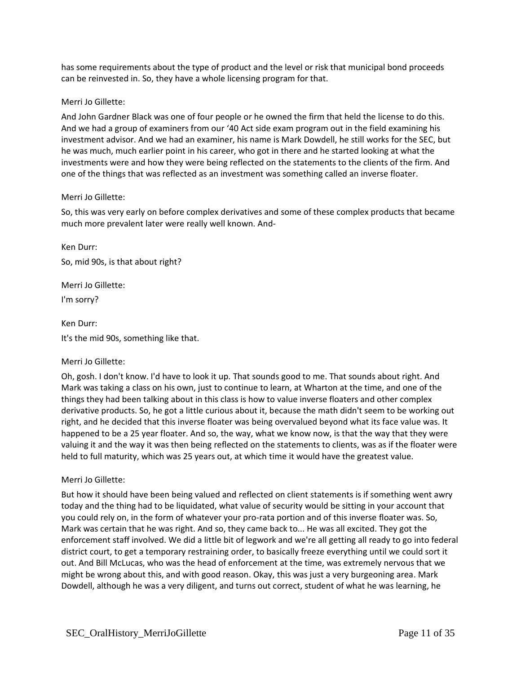has some requirements about the type of product and the level or risk that municipal bond proceeds can be reinvested in. So, they have a whole licensing program for that.

## Merri Jo Gillette:

And John Gardner Black was one of four people or he owned the firm that held the license to do this. And we had a group of examiners from our '40 Act side exam program out in the field examining his investment advisor. And we had an examiner, his name is Mark Dowdell, he still works for the SEC, but he was much, much earlier point in his career, who got in there and he started looking at what the investments were and how they were being reflected on the statements to the clients of the firm. And one of the things that was reflected as an investment was something called an inverse floater.

### Merri Jo Gillette:

So, this was very early on before complex derivatives and some of these complex products that became much more prevalent later were really well known. And-

Ken Durr: So, mid 90s, is that about right?

Merri Jo Gillette: I'm sorry?

Ken Durr: It's the mid 90s, something like that.

## Merri Jo Gillette:

Oh, gosh. I don't know. I'd have to look it up. That sounds good to me. That sounds about right. And Mark was taking a class on his own, just to continue to learn, at Wharton at the time, and one of the things they had been talking about in this class is how to value inverse floaters and other complex derivative products. So, he got a little curious about it, because the math didn't seem to be working out right, and he decided that this inverse floater was being overvalued beyond what its face value was. It happened to be a 25 year floater. And so, the way, what we know now, is that the way that they were valuing it and the way it was then being reflected on the statements to clients, was as if the floater were held to full maturity, which was 25 years out, at which time it would have the greatest value.

## Merri Jo Gillette:

But how it should have been being valued and reflected on client statements is if something went awry today and the thing had to be liquidated, what value of security would be sitting in your account that you could rely on, in the form of whatever your pro-rata portion and of this inverse floater was. So, Mark was certain that he was right. And so, they came back to... He was all excited. They got the enforcement staff involved. We did a little bit of legwork and we're all getting all ready to go into federal district court, to get a temporary restraining order, to basically freeze everything until we could sort it out. And Bill McLucas, who was the head of enforcement at the time, was extremely nervous that we might be wrong about this, and with good reason. Okay, this was just a very burgeoning area. Mark Dowdell, although he was a very diligent, and turns out correct, student of what he was learning, he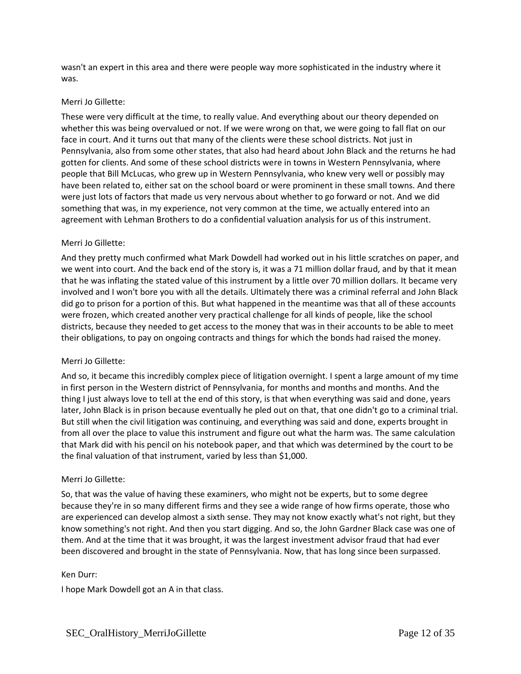wasn't an expert in this area and there were people way more sophisticated in the industry where it was.

### Merri Jo Gillette:

These were very difficult at the time, to really value. And everything about our theory depended on whether this was being overvalued or not. If we were wrong on that, we were going to fall flat on our face in court. And it turns out that many of the clients were these school districts. Not just in Pennsylvania, also from some other states, that also had heard about John Black and the returns he had gotten for clients. And some of these school districts were in towns in Western Pennsylvania, where people that Bill McLucas, who grew up in Western Pennsylvania, who knew very well or possibly may have been related to, either sat on the school board or were prominent in these small towns. And there were just lots of factors that made us very nervous about whether to go forward or not. And we did something that was, in my experience, not very common at the time, we actually entered into an agreement with Lehman Brothers to do a confidential valuation analysis for us of this instrument.

## Merri Jo Gillette:

And they pretty much confirmed what Mark Dowdell had worked out in his little scratches on paper, and we went into court. And the back end of the story is, it was a 71 million dollar fraud, and by that it mean that he was inflating the stated value of this instrument by a little over 70 million dollars. It became very involved and I won't bore you with all the details. Ultimately there was a criminal referral and John Black did go to prison for a portion of this. But what happened in the meantime was that all of these accounts were frozen, which created another very practical challenge for all kinds of people, like the school districts, because they needed to get access to the money that was in their accounts to be able to meet their obligations, to pay on ongoing contracts and things for which the bonds had raised the money.

## Merri Jo Gillette:

And so, it became this incredibly complex piece of litigation overnight. I spent a large amount of my time in first person in the Western district of Pennsylvania, for months and months and months. And the thing I just always love to tell at the end of this story, is that when everything was said and done, years later, John Black is in prison because eventually he pled out on that, that one didn't go to a criminal trial. But still when the civil litigation was continuing, and everything was said and done, experts brought in from all over the place to value this instrument and figure out what the harm was. The same calculation that Mark did with his pencil on his notebook paper, and that which was determined by the court to be the final valuation of that instrument, varied by less than \$1,000.

## Merri Jo Gillette:

So, that was the value of having these examiners, who might not be experts, but to some degree because they're in so many different firms and they see a wide range of how firms operate, those who are experienced can develop almost a sixth sense. They may not know exactly what's not right, but they know something's not right. And then you start digging. And so, the John Gardner Black case was one of them. And at the time that it was brought, it was the largest investment advisor fraud that had ever been discovered and brought in the state of Pennsylvania. Now, that has long since been surpassed.

### Ken Durr:

I hope Mark Dowdell got an A in that class.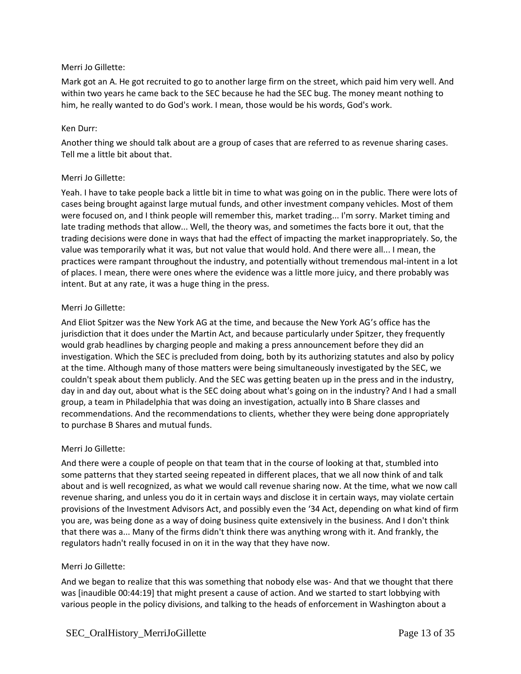Mark got an A. He got recruited to go to another large firm on the street, which paid him very well. And within two years he came back to the SEC because he had the SEC bug. The money meant nothing to him, he really wanted to do God's work. I mean, those would be his words, God's work.

### Ken Durr:

Another thing we should talk about are a group of cases that are referred to as revenue sharing cases. Tell me a little bit about that.

### Merri Jo Gillette:

Yeah. I have to take people back a little bit in time to what was going on in the public. There were lots of cases being brought against large mutual funds, and other investment company vehicles. Most of them were focused on, and I think people will remember this, market trading... I'm sorry. Market timing and late trading methods that allow... Well, the theory was, and sometimes the facts bore it out, that the trading decisions were done in ways that had the effect of impacting the market inappropriately. So, the value was temporarily what it was, but not value that would hold. And there were all... I mean, the practices were rampant throughout the industry, and potentially without tremendous mal-intent in a lot of places. I mean, there were ones where the evidence was a little more juicy, and there probably was intent. But at any rate, it was a huge thing in the press.

### Merri Jo Gillette:

And Eliot Spitzer was the New York AG at the time, and because the New York AG's office has the jurisdiction that it does under the Martin Act, and because particularly under Spitzer, they frequently would grab headlines by charging people and making a press announcement before they did an investigation. Which the SEC is precluded from doing, both by its authorizing statutes and also by policy at the time. Although many of those matters were being simultaneously investigated by the SEC, we couldn't speak about them publicly. And the SEC was getting beaten up in the press and in the industry, day in and day out, about what is the SEC doing about what's going on in the industry? And I had a small group, a team in Philadelphia that was doing an investigation, actually into B Share classes and recommendations. And the recommendations to clients, whether they were being done appropriately to purchase B Shares and mutual funds.

## Merri Jo Gillette:

And there were a couple of people on that team that in the course of looking at that, stumbled into some patterns that they started seeing repeated in different places, that we all now think of and talk about and is well recognized, as what we would call revenue sharing now. At the time, what we now call revenue sharing, and unless you do it in certain ways and disclose it in certain ways, may violate certain provisions of the Investment Advisors Act, and possibly even the '34 Act, depending on what kind of firm you are, was being done as a way of doing business quite extensively in the business. And I don't think that there was a... Many of the firms didn't think there was anything wrong with it. And frankly, the regulators hadn't really focused in on it in the way that they have now.

## Merri Jo Gillette:

And we began to realize that this was something that nobody else was- And that we thought that there was [inaudible 00:44:19] that might present a cause of action. And we started to start lobbying with various people in the policy divisions, and talking to the heads of enforcement in Washington about a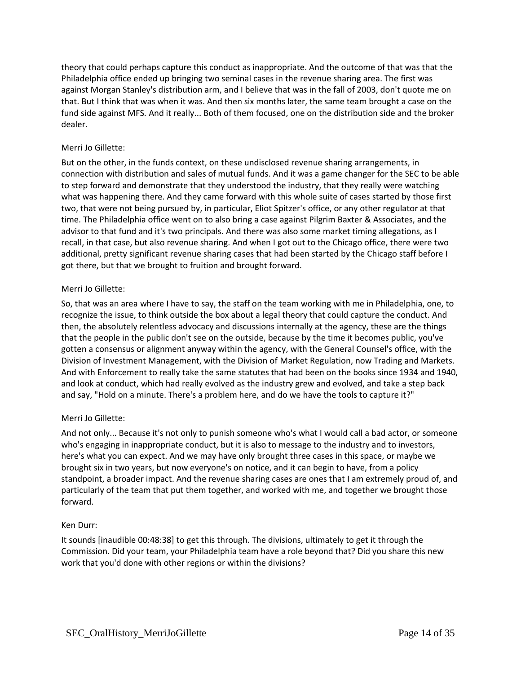theory that could perhaps capture this conduct as inappropriate. And the outcome of that was that the Philadelphia office ended up bringing two seminal cases in the revenue sharing area. The first was against Morgan Stanley's distribution arm, and I believe that was in the fall of 2003, don't quote me on that. But I think that was when it was. And then six months later, the same team brought a case on the fund side against MFS. And it really... Both of them focused, one on the distribution side and the broker dealer.

## Merri Jo Gillette:

But on the other, in the funds context, on these undisclosed revenue sharing arrangements, in connection with distribution and sales of mutual funds. And it was a game changer for the SEC to be able to step forward and demonstrate that they understood the industry, that they really were watching what was happening there. And they came forward with this whole suite of cases started by those first two, that were not being pursued by, in particular, Eliot Spitzer's office, or any other regulator at that time. The Philadelphia office went on to also bring a case against Pilgrim Baxter & Associates, and the advisor to that fund and it's two principals. And there was also some market timing allegations, as I recall, in that case, but also revenue sharing. And when I got out to the Chicago office, there were two additional, pretty significant revenue sharing cases that had been started by the Chicago staff before I got there, but that we brought to fruition and brought forward.

## Merri Jo Gillette:

So, that was an area where I have to say, the staff on the team working with me in Philadelphia, one, to recognize the issue, to think outside the box about a legal theory that could capture the conduct. And then, the absolutely relentless advocacy and discussions internally at the agency, these are the things that the people in the public don't see on the outside, because by the time it becomes public, you've gotten a consensus or alignment anyway within the agency, with the General Counsel's office, with the Division of Investment Management, with the Division of Market Regulation, now Trading and Markets. And with Enforcement to really take the same statutes that had been on the books since 1934 and 1940, and look at conduct, which had really evolved as the industry grew and evolved, and take a step back and say, "Hold on a minute. There's a problem here, and do we have the tools to capture it?"

## Merri Jo Gillette:

And not only... Because it's not only to punish someone who's what I would call a bad actor, or someone who's engaging in inappropriate conduct, but it is also to message to the industry and to investors, here's what you can expect. And we may have only brought three cases in this space, or maybe we brought six in two years, but now everyone's on notice, and it can begin to have, from a policy standpoint, a broader impact. And the revenue sharing cases are ones that I am extremely proud of, and particularly of the team that put them together, and worked with me, and together we brought those forward.

## Ken Durr:

It sounds [inaudible 00:48:38] to get this through. The divisions, ultimately to get it through the Commission. Did your team, your Philadelphia team have a role beyond that? Did you share this new work that you'd done with other regions or within the divisions?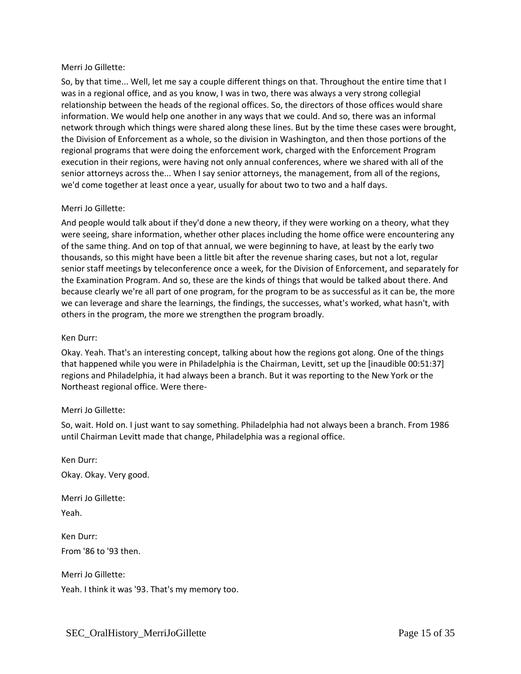So, by that time... Well, let me say a couple different things on that. Throughout the entire time that I was in a regional office, and as you know, I was in two, there was always a very strong collegial relationship between the heads of the regional offices. So, the directors of those offices would share information. We would help one another in any ways that we could. And so, there was an informal network through which things were shared along these lines. But by the time these cases were brought, the Division of Enforcement as a whole, so the division in Washington, and then those portions of the regional programs that were doing the enforcement work, charged with the Enforcement Program execution in their regions, were having not only annual conferences, where we shared with all of the senior attorneys across the... When I say senior attorneys, the management, from all of the regions, we'd come together at least once a year, usually for about two to two and a half days.

## Merri Jo Gillette:

And people would talk about if they'd done a new theory, if they were working on a theory, what they were seeing, share information, whether other places including the home office were encountering any of the same thing. And on top of that annual, we were beginning to have, at least by the early two thousands, so this might have been a little bit after the revenue sharing cases, but not a lot, regular senior staff meetings by teleconference once a week, for the Division of Enforcement, and separately for the Examination Program. And so, these are the kinds of things that would be talked about there. And because clearly we're all part of one program, for the program to be as successful as it can be, the more we can leverage and share the learnings, the findings, the successes, what's worked, what hasn't, with others in the program, the more we strengthen the program broadly.

### Ken Durr:

Okay. Yeah. That's an interesting concept, talking about how the regions got along. One of the things that happened while you were in Philadelphia is the Chairman, Levitt, set up the [inaudible 00:51:37] regions and Philadelphia, it had always been a branch. But it was reporting to the New York or the Northeast regional office. Were there-

## Merri Jo Gillette:

So, wait. Hold on. I just want to say something. Philadelphia had not always been a branch. From 1986 until Chairman Levitt made that change, Philadelphia was a regional office.

Ken Durr: Okay. Okay. Very good.

Merri Jo Gillette: Yeah.

Ken Durr: From '86 to '93 then.

Merri Jo Gillette:

Yeah. I think it was '93. That's my memory too.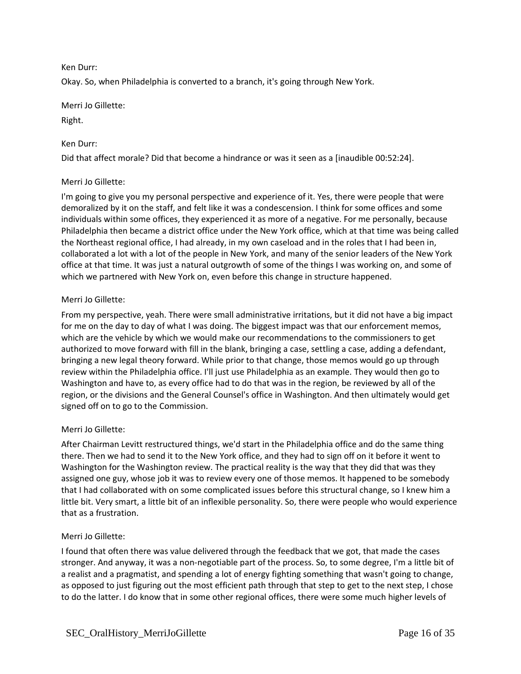## Ken Durr:

Okay. So, when Philadelphia is converted to a branch, it's going through New York.

Merri Jo Gillette:

Right.

## Ken Durr:

Did that affect morale? Did that become a hindrance or was it seen as a [inaudible 00:52:24].

## Merri Jo Gillette:

I'm going to give you my personal perspective and experience of it. Yes, there were people that were demoralized by it on the staff, and felt like it was a condescension. I think for some offices and some individuals within some offices, they experienced it as more of a negative. For me personally, because Philadelphia then became a district office under the New York office, which at that time was being called the Northeast regional office, I had already, in my own caseload and in the roles that I had been in, collaborated a lot with a lot of the people in New York, and many of the senior leaders of the New York office at that time. It was just a natural outgrowth of some of the things I was working on, and some of which we partnered with New York on, even before this change in structure happened.

## Merri Jo Gillette:

From my perspective, yeah. There were small administrative irritations, but it did not have a big impact for me on the day to day of what I was doing. The biggest impact was that our enforcement memos, which are the vehicle by which we would make our recommendations to the commissioners to get authorized to move forward with fill in the blank, bringing a case, settling a case, adding a defendant, bringing a new legal theory forward. While prior to that change, those memos would go up through review within the Philadelphia office. I'll just use Philadelphia as an example. They would then go to Washington and have to, as every office had to do that was in the region, be reviewed by all of the region, or the divisions and the General Counsel's office in Washington. And then ultimately would get signed off on to go to the Commission.

## Merri Jo Gillette:

After Chairman Levitt restructured things, we'd start in the Philadelphia office and do the same thing there. Then we had to send it to the New York office, and they had to sign off on it before it went to Washington for the Washington review. The practical reality is the way that they did that was they assigned one guy, whose job it was to review every one of those memos. It happened to be somebody that I had collaborated with on some complicated issues before this structural change, so I knew him a little bit. Very smart, a little bit of an inflexible personality. So, there were people who would experience that as a frustration.

## Merri Jo Gillette:

I found that often there was value delivered through the feedback that we got, that made the cases stronger. And anyway, it was a non-negotiable part of the process. So, to some degree, I'm a little bit of a realist and a pragmatist, and spending a lot of energy fighting something that wasn't going to change, as opposed to just figuring out the most efficient path through that step to get to the next step, I chose to do the latter. I do know that in some other regional offices, there were some much higher levels of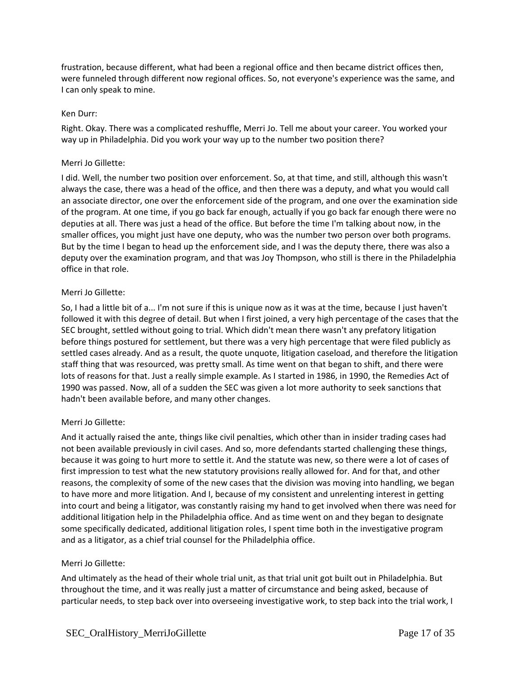frustration, because different, what had been a regional office and then became district offices then, were funneled through different now regional offices. So, not everyone's experience was the same, and I can only speak to mine.

## Ken Durr:

Right. Okay. There was a complicated reshuffle, Merri Jo. Tell me about your career. You worked your way up in Philadelphia. Did you work your way up to the number two position there?

### Merri Jo Gillette:

I did. Well, the number two position over enforcement. So, at that time, and still, although this wasn't always the case, there was a head of the office, and then there was a deputy, and what you would call an associate director, one over the enforcement side of the program, and one over the examination side of the program. At one time, if you go back far enough, actually if you go back far enough there were no deputies at all. There was just a head of the office. But before the time I'm talking about now, in the smaller offices, you might just have one deputy, who was the number two person over both programs. But by the time I began to head up the enforcement side, and I was the deputy there, there was also a deputy over the examination program, and that was Joy Thompson, who still is there in the Philadelphia office in that role.

### Merri Jo Gillette:

So, I had a little bit of a... I'm not sure if this is unique now as it was at the time, because I just haven't followed it with this degree of detail. But when I first joined, a very high percentage of the cases that the SEC brought, settled without going to trial. Which didn't mean there wasn't any prefatory litigation before things postured for settlement, but there was a very high percentage that were filed publicly as settled cases already. And as a result, the quote unquote, litigation caseload, and therefore the litigation staff thing that was resourced, was pretty small. As time went on that began to shift, and there were lots of reasons for that. Just a really simple example. As I started in 1986, in 1990, the Remedies Act of 1990 was passed. Now, all of a sudden the SEC was given a lot more authority to seek sanctions that hadn't been available before, and many other changes.

## Merri Jo Gillette:

And it actually raised the ante, things like civil penalties, which other than in insider trading cases had not been available previously in civil cases. And so, more defendants started challenging these things, because it was going to hurt more to settle it. And the statute was new, so there were a lot of cases of first impression to test what the new statutory provisions really allowed for. And for that, and other reasons, the complexity of some of the new cases that the division was moving into handling, we began to have more and more litigation. And I, because of my consistent and unrelenting interest in getting into court and being a litigator, was constantly raising my hand to get involved when there was need for additional litigation help in the Philadelphia office. And as time went on and they began to designate some specifically dedicated, additional litigation roles, I spent time both in the investigative program and as a litigator, as a chief trial counsel for the Philadelphia office.

### Merri Jo Gillette:

And ultimately as the head of their whole trial unit, as that trial unit got built out in Philadelphia. But throughout the time, and it was really just a matter of circumstance and being asked, because of particular needs, to step back over into overseeing investigative work, to step back into the trial work, I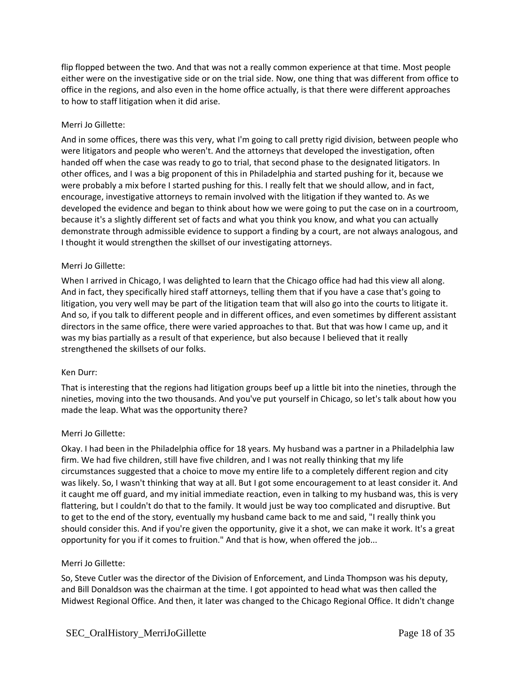flip flopped between the two. And that was not a really common experience at that time. Most people either were on the investigative side or on the trial side. Now, one thing that was different from office to office in the regions, and also even in the home office actually, is that there were different approaches to how to staff litigation when it did arise.

## Merri Jo Gillette:

And in some offices, there was this very, what I'm going to call pretty rigid division, between people who were litigators and people who weren't. And the attorneys that developed the investigation, often handed off when the case was ready to go to trial, that second phase to the designated litigators. In other offices, and I was a big proponent of this in Philadelphia and started pushing for it, because we were probably a mix before I started pushing for this. I really felt that we should allow, and in fact, encourage, investigative attorneys to remain involved with the litigation if they wanted to. As we developed the evidence and began to think about how we were going to put the case on in a courtroom, because it's a slightly different set of facts and what you think you know, and what you can actually demonstrate through admissible evidence to support a finding by a court, are not always analogous, and I thought it would strengthen the skillset of our investigating attorneys.

## Merri Jo Gillette:

When I arrived in Chicago, I was delighted to learn that the Chicago office had had this view all along. And in fact, they specifically hired staff attorneys, telling them that if you have a case that's going to litigation, you very well may be part of the litigation team that will also go into the courts to litigate it. And so, if you talk to different people and in different offices, and even sometimes by different assistant directors in the same office, there were varied approaches to that. But that was how I came up, and it was my bias partially as a result of that experience, but also because I believed that it really strengthened the skillsets of our folks.

## Ken Durr:

That is interesting that the regions had litigation groups beef up a little bit into the nineties, through the nineties, moving into the two thousands. And you've put yourself in Chicago, so let's talk about how you made the leap. What was the opportunity there?

## Merri Jo Gillette:

Okay. I had been in the Philadelphia office for 18 years. My husband was a partner in a Philadelphia law firm. We had five children, still have five children, and I was not really thinking that my life circumstances suggested that a choice to move my entire life to a completely different region and city was likely. So, I wasn't thinking that way at all. But I got some encouragement to at least consider it. And it caught me off guard, and my initial immediate reaction, even in talking to my husband was, this is very flattering, but I couldn't do that to the family. It would just be way too complicated and disruptive. But to get to the end of the story, eventually my husband came back to me and said, "I really think you should consider this. And if you're given the opportunity, give it a shot, we can make it work. It's a great opportunity for you if it comes to fruition." And that is how, when offered the job...

## Merri Jo Gillette:

So, Steve Cutler was the director of the Division of Enforcement, and Linda Thompson was his deputy, and Bill Donaldson was the chairman at the time. I got appointed to head what was then called the Midwest Regional Office. And then, it later was changed to the Chicago Regional Office. It didn't change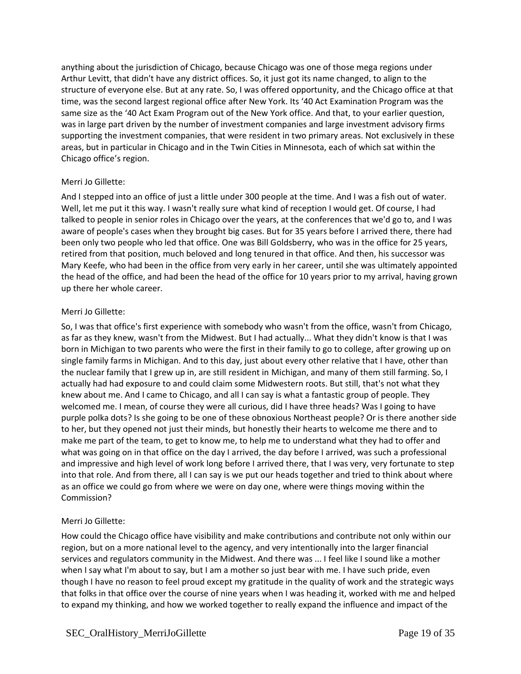anything about the jurisdiction of Chicago, because Chicago was one of those mega regions under Arthur Levitt, that didn't have any district offices. So, it just got its name changed, to align to the structure of everyone else. But at any rate. So, I was offered opportunity, and the Chicago office at that time, was the second largest regional office after New York. Its '40 Act Examination Program was the same size as the '40 Act Exam Program out of the New York office. And that, to your earlier question, was in large part driven by the number of investment companies and large investment advisory firms supporting the investment companies, that were resident in two primary areas. Not exclusively in these areas, but in particular in Chicago and in the Twin Cities in Minnesota, each of which sat within the Chicago office's region.

## Merri Jo Gillette:

And I stepped into an office of just a little under 300 people at the time. And I was a fish out of water. Well, let me put it this way. I wasn't really sure what kind of reception I would get. Of course, I had talked to people in senior roles in Chicago over the years, at the conferences that we'd go to, and I was aware of people's cases when they brought big cases. But for 35 years before I arrived there, there had been only two people who led that office. One was Bill Goldsberry, who was in the office for 25 years, retired from that position, much beloved and long tenured in that office. And then, his successor was Mary Keefe, who had been in the office from very early in her career, until she was ultimately appointed the head of the office, and had been the head of the office for 10 years prior to my arrival, having grown up there her whole career.

## Merri Jo Gillette:

So, I was that office's first experience with somebody who wasn't from the office, wasn't from Chicago, as far as they knew, wasn't from the Midwest. But I had actually... What they didn't know is that I was born in Michigan to two parents who were the first in their family to go to college, after growing up on single family farms in Michigan. And to this day, just about every other relative that I have, other than the nuclear family that I grew up in, are still resident in Michigan, and many of them still farming. So, I actually had had exposure to and could claim some Midwestern roots. But still, that's not what they knew about me. And I came to Chicago, and all I can say is what a fantastic group of people. They welcomed me. I mean, of course they were all curious, did I have three heads? Was I going to have purple polka dots? Is she going to be one of these obnoxious Northeast people? Or is there another side to her, but they opened not just their minds, but honestly their hearts to welcome me there and to make me part of the team, to get to know me, to help me to understand what they had to offer and what was going on in that office on the day I arrived, the day before I arrived, was such a professional and impressive and high level of work long before I arrived there, that I was very, very fortunate to step into that role. And from there, all I can say is we put our heads together and tried to think about where as an office we could go from where we were on day one, where were things moving within the Commission?

## Merri Jo Gillette:

How could the Chicago office have visibility and make contributions and contribute not only within our region, but on a more national level to the agency, and very intentionally into the larger financial services and regulators community in the Midwest. And there was ... I feel like I sound like a mother when I say what I'm about to say, but I am a mother so just bear with me. I have such pride, even though I have no reason to feel proud except my gratitude in the quality of work and the strategic ways that folks in that office over the course of nine years when I was heading it, worked with me and helped to expand my thinking, and how we worked together to really expand the influence and impact of the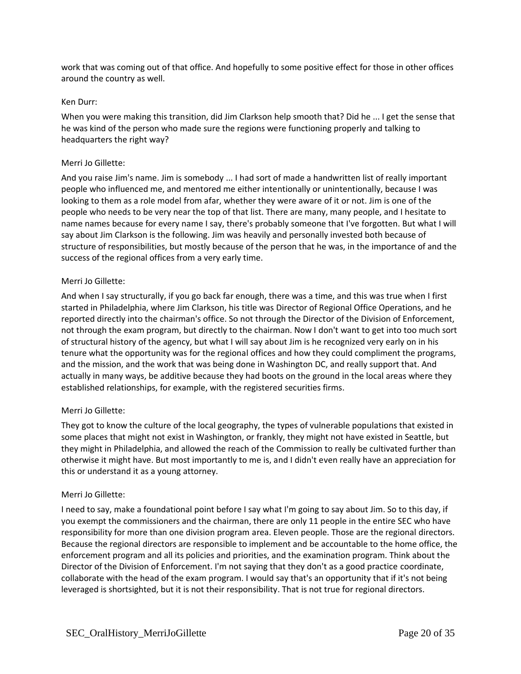work that was coming out of that office. And hopefully to some positive effect for those in other offices around the country as well.

### Ken Durr:

When you were making this transition, did Jim Clarkson help smooth that? Did he ... I get the sense that he was kind of the person who made sure the regions were functioning properly and talking to headquarters the right way?

### Merri Jo Gillette:

And you raise Jim's name. Jim is somebody ... I had sort of made a handwritten list of really important people who influenced me, and mentored me either intentionally or unintentionally, because I was looking to them as a role model from afar, whether they were aware of it or not. Jim is one of the people who needs to be very near the top of that list. There are many, many people, and I hesitate to name names because for every name I say, there's probably someone that I've forgotten. But what I will say about Jim Clarkson is the following. Jim was heavily and personally invested both because of structure of responsibilities, but mostly because of the person that he was, in the importance of and the success of the regional offices from a very early time.

### Merri Jo Gillette:

And when I say structurally, if you go back far enough, there was a time, and this was true when I first started in Philadelphia, where Jim Clarkson, his title was Director of Regional Office Operations, and he reported directly into the chairman's office. So not through the Director of the Division of Enforcement, not through the exam program, but directly to the chairman. Now I don't want to get into too much sort of structural history of the agency, but what I will say about Jim is he recognized very early on in his tenure what the opportunity was for the regional offices and how they could compliment the programs, and the mission, and the work that was being done in Washington DC, and really support that. And actually in many ways, be additive because they had boots on the ground in the local areas where they established relationships, for example, with the registered securities firms.

## Merri Jo Gillette:

They got to know the culture of the local geography, the types of vulnerable populations that existed in some places that might not exist in Washington, or frankly, they might not have existed in Seattle, but they might in Philadelphia, and allowed the reach of the Commission to really be cultivated further than otherwise it might have. But most importantly to me is, and I didn't even really have an appreciation for this or understand it as a young attorney.

### Merri Jo Gillette:

I need to say, make a foundational point before I say what I'm going to say about Jim. So to this day, if you exempt the commissioners and the chairman, there are only 11 people in the entire SEC who have responsibility for more than one division program area. Eleven people. Those are the regional directors. Because the regional directors are responsible to implement and be accountable to the home office, the enforcement program and all its policies and priorities, and the examination program. Think about the Director of the Division of Enforcement. I'm not saying that they don't as a good practice coordinate, collaborate with the head of the exam program. I would say that's an opportunity that if it's not being leveraged is shortsighted, but it is not their responsibility. That is not true for regional directors.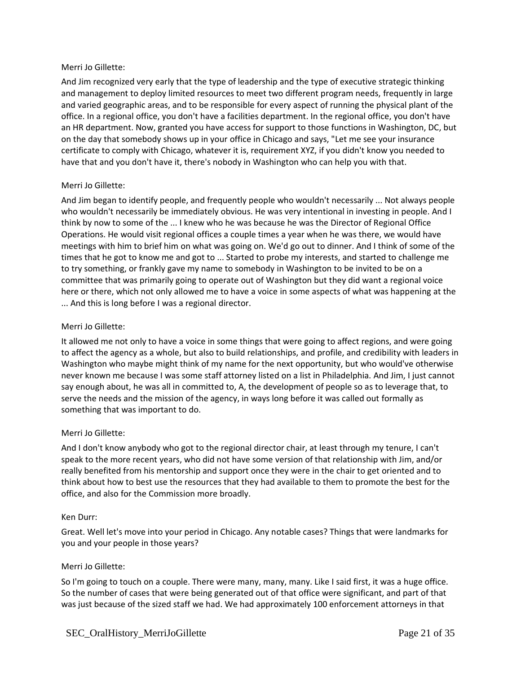And Jim recognized very early that the type of leadership and the type of executive strategic thinking and management to deploy limited resources to meet two different program needs, frequently in large and varied geographic areas, and to be responsible for every aspect of running the physical plant of the office. In a regional office, you don't have a facilities department. In the regional office, you don't have an HR department. Now, granted you have access for support to those functions in Washington, DC, but on the day that somebody shows up in your office in Chicago and says, "Let me see your insurance certificate to comply with Chicago, whatever it is, requirement XYZ, if you didn't know you needed to have that and you don't have it, there's nobody in Washington who can help you with that.

## Merri Jo Gillette:

And Jim began to identify people, and frequently people who wouldn't necessarily ... Not always people who wouldn't necessarily be immediately obvious. He was very intentional in investing in people. And I think by now to some of the ... I knew who he was because he was the Director of Regional Office Operations. He would visit regional offices a couple times a year when he was there, we would have meetings with him to brief him on what was going on. We'd go out to dinner. And I think of some of the times that he got to know me and got to ... Started to probe my interests, and started to challenge me to try something, or frankly gave my name to somebody in Washington to be invited to be on a committee that was primarily going to operate out of Washington but they did want a regional voice here or there, which not only allowed me to have a voice in some aspects of what was happening at the ... And this is long before I was a regional director.

### Merri Jo Gillette:

It allowed me not only to have a voice in some things that were going to affect regions, and were going to affect the agency as a whole, but also to build relationships, and profile, and credibility with leaders in Washington who maybe might think of my name for the next opportunity, but who would've otherwise never known me because I was some staff attorney listed on a list in Philadelphia. And Jim, I just cannot say enough about, he was all in committed to, A, the development of people so as to leverage that, to serve the needs and the mission of the agency, in ways long before it was called out formally as something that was important to do.

## Merri Jo Gillette:

And I don't know anybody who got to the regional director chair, at least through my tenure, I can't speak to the more recent years, who did not have some version of that relationship with Jim, and/or really benefited from his mentorship and support once they were in the chair to get oriented and to think about how to best use the resources that they had available to them to promote the best for the office, and also for the Commission more broadly.

### Ken Durr:

Great. Well let's move into your period in Chicago. Any notable cases? Things that were landmarks for you and your people in those years?

## Merri Jo Gillette:

So I'm going to touch on a couple. There were many, many, many. Like I said first, it was a huge office. So the number of cases that were being generated out of that office were significant, and part of that was just because of the sized staff we had. We had approximately 100 enforcement attorneys in that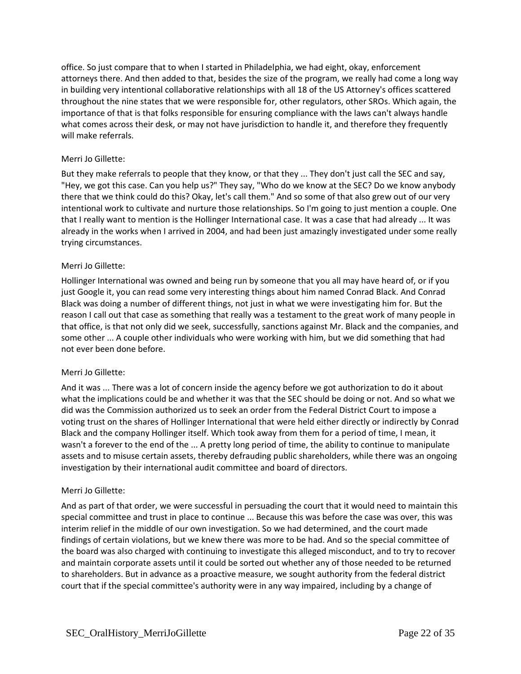office. So just compare that to when I started in Philadelphia, we had eight, okay, enforcement attorneys there. And then added to that, besides the size of the program, we really had come a long way in building very intentional collaborative relationships with all 18 of the US Attorney's offices scattered throughout the nine states that we were responsible for, other regulators, other SROs. Which again, the importance of that is that folks responsible for ensuring compliance with the laws can't always handle what comes across their desk, or may not have jurisdiction to handle it, and therefore they frequently will make referrals.

## Merri Jo Gillette:

But they make referrals to people that they know, or that they ... They don't just call the SEC and say, "Hey, we got this case. Can you help us?" They say, "Who do we know at the SEC? Do we know anybody there that we think could do this? Okay, let's call them." And so some of that also grew out of our very intentional work to cultivate and nurture those relationships. So I'm going to just mention a couple. One that I really want to mention is the Hollinger International case. It was a case that had already ... It was already in the works when I arrived in 2004, and had been just amazingly investigated under some really trying circumstances.

## Merri Jo Gillette:

Hollinger International was owned and being run by someone that you all may have heard of, or if you just Google it, you can read some very interesting things about him named Conrad Black. And Conrad Black was doing a number of different things, not just in what we were investigating him for. But the reason I call out that case as something that really was a testament to the great work of many people in that office, is that not only did we seek, successfully, sanctions against Mr. Black and the companies, and some other ... A couple other individuals who were working with him, but we did something that had not ever been done before.

## Merri Jo Gillette:

And it was ... There was a lot of concern inside the agency before we got authorization to do it about what the implications could be and whether it was that the SEC should be doing or not. And so what we did was the Commission authorized us to seek an order from the Federal District Court to impose a voting trust on the shares of Hollinger International that were held either directly or indirectly by Conrad Black and the company Hollinger itself. Which took away from them for a period of time, I mean, it wasn't a forever to the end of the ... A pretty long period of time, the ability to continue to manipulate assets and to misuse certain assets, thereby defrauding public shareholders, while there was an ongoing investigation by their international audit committee and board of directors.

## Merri Jo Gillette:

And as part of that order, we were successful in persuading the court that it would need to maintain this special committee and trust in place to continue ... Because this was before the case was over, this was interim relief in the middle of our own investigation. So we had determined, and the court made findings of certain violations, but we knew there was more to be had. And so the special committee of the board was also charged with continuing to investigate this alleged misconduct, and to try to recover and maintain corporate assets until it could be sorted out whether any of those needed to be returned to shareholders. But in advance as a proactive measure, we sought authority from the federal district court that if the special committee's authority were in any way impaired, including by a change of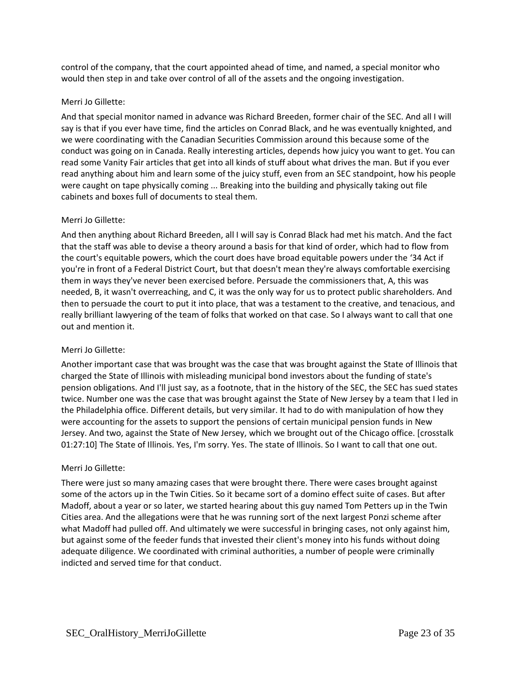control of the company, that the court appointed ahead of time, and named, a special monitor who would then step in and take over control of all of the assets and the ongoing investigation.

## Merri Jo Gillette:

And that special monitor named in advance was Richard Breeden, former chair of the SEC. And all I will say is that if you ever have time, find the articles on Conrad Black, and he was eventually knighted, and we were coordinating with the Canadian Securities Commission around this because some of the conduct was going on in Canada. Really interesting articles, depends how juicy you want to get. You can read some Vanity Fair articles that get into all kinds of stuff about what drives the man. But if you ever read anything about him and learn some of the juicy stuff, even from an SEC standpoint, how his people were caught on tape physically coming ... Breaking into the building and physically taking out file cabinets and boxes full of documents to steal them.

## Merri Jo Gillette:

And then anything about Richard Breeden, all I will say is Conrad Black had met his match. And the fact that the staff was able to devise a theory around a basis for that kind of order, which had to flow from the court's equitable powers, which the court does have broad equitable powers under the '34 Act if you're in front of a Federal District Court, but that doesn't mean they're always comfortable exercising them in ways they've never been exercised before. Persuade the commissioners that, A, this was needed, B, it wasn't overreaching, and C, it was the only way for us to protect public shareholders. And then to persuade the court to put it into place, that was a testament to the creative, and tenacious, and really brilliant lawyering of the team of folks that worked on that case. So I always want to call that one out and mention it.

## Merri Jo Gillette:

Another important case that was brought was the case that was brought against the State of Illinois that charged the State of Illinois with misleading municipal bond investors about the funding of state's pension obligations. And I'll just say, as a footnote, that in the history of the SEC, the SEC has sued states twice. Number one was the case that was brought against the State of New Jersey by a team that I led in the Philadelphia office. Different details, but very similar. It had to do with manipulation of how they were accounting for the assets to support the pensions of certain municipal pension funds in New Jersey. And two, against the State of New Jersey, which we brought out of the Chicago office. [crosstalk 01:27:10] The State of Illinois. Yes, I'm sorry. Yes. The state of Illinois. So I want to call that one out.

## Merri Jo Gillette:

There were just so many amazing cases that were brought there. There were cases brought against some of the actors up in the Twin Cities. So it became sort of a domino effect suite of cases. But after Madoff, about a year or so later, we started hearing about this guy named Tom Petters up in the Twin Cities area. And the allegations were that he was running sort of the next largest Ponzi scheme after what Madoff had pulled off. And ultimately we were successful in bringing cases, not only against him, but against some of the feeder funds that invested their client's money into his funds without doing adequate diligence. We coordinated with criminal authorities, a number of people were criminally indicted and served time for that conduct.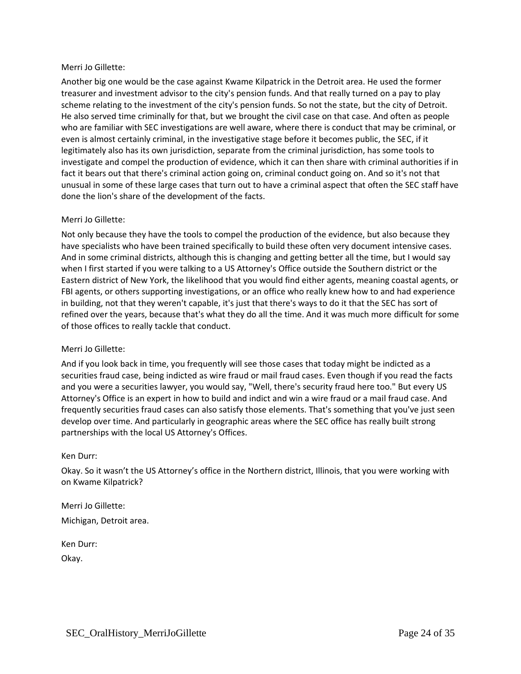Another big one would be the case against Kwame Kilpatrick in the Detroit area. He used the former treasurer and investment advisor to the city's pension funds. And that really turned on a pay to play scheme relating to the investment of the city's pension funds. So not the state, but the city of Detroit. He also served time criminally for that, but we brought the civil case on that case. And often as people who are familiar with SEC investigations are well aware, where there is conduct that may be criminal, or even is almost certainly criminal, in the investigative stage before it becomes public, the SEC, if it legitimately also has its own jurisdiction, separate from the criminal jurisdiction, has some tools to investigate and compel the production of evidence, which it can then share with criminal authorities if in fact it bears out that there's criminal action going on, criminal conduct going on. And so it's not that unusual in some of these large cases that turn out to have a criminal aspect that often the SEC staff have done the lion's share of the development of the facts.

## Merri Jo Gillette:

Not only because they have the tools to compel the production of the evidence, but also because they have specialists who have been trained specifically to build these often very document intensive cases. And in some criminal districts, although this is changing and getting better all the time, but I would say when I first started if you were talking to a US Attorney's Office outside the Southern district or the Eastern district of New York, the likelihood that you would find either agents, meaning coastal agents, or FBI agents, or others supporting investigations, or an office who really knew how to and had experience in building, not that they weren't capable, it's just that there's ways to do it that the SEC has sort of refined over the years, because that's what they do all the time. And it was much more difficult for some of those offices to really tackle that conduct.

## Merri Jo Gillette:

And if you look back in time, you frequently will see those cases that today might be indicted as a securities fraud case, being indicted as wire fraud or mail fraud cases. Even though if you read the facts and you were a securities lawyer, you would say, "Well, there's security fraud here too." But every US Attorney's Office is an expert in how to build and indict and win a wire fraud or a mail fraud case. And frequently securities fraud cases can also satisfy those elements. That's something that you've just seen develop over time. And particularly in geographic areas where the SEC office has really built strong partnerships with the local US Attorney's Offices.

### Ken Durr:

Okay. So it wasn't the US Attorney's office in the Northern district, Illinois, that you were working with on Kwame Kilpatrick?

Merri Jo Gillette: Michigan, Detroit area.

Ken Durr:

Okay.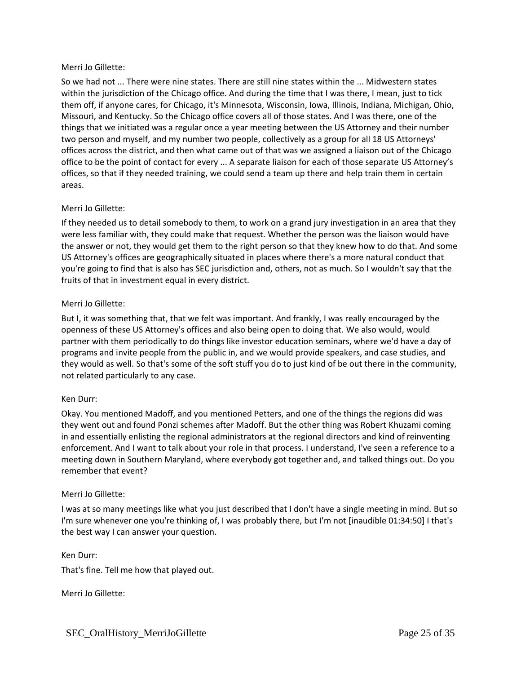So we had not ... There were nine states. There are still nine states within the ... Midwestern states within the jurisdiction of the Chicago office. And during the time that I was there, I mean, just to tick them off, if anyone cares, for Chicago, it's Minnesota, Wisconsin, Iowa, Illinois, Indiana, Michigan, Ohio, Missouri, and Kentucky. So the Chicago office covers all of those states. And I was there, one of the things that we initiated was a regular once a year meeting between the US Attorney and their number two person and myself, and my number two people, collectively as a group for all 18 US Attorneys' offices across the district, and then what came out of that was we assigned a liaison out of the Chicago office to be the point of contact for every ... A separate liaison for each of those separate US Attorney's offices, so that if they needed training, we could send a team up there and help train them in certain areas.

## Merri Jo Gillette:

If they needed us to detail somebody to them, to work on a grand jury investigation in an area that they were less familiar with, they could make that request. Whether the person was the liaison would have the answer or not, they would get them to the right person so that they knew how to do that. And some US Attorney's offices are geographically situated in places where there's a more natural conduct that you're going to find that is also has SEC jurisdiction and, others, not as much. So I wouldn't say that the fruits of that in investment equal in every district.

### Merri Jo Gillette:

But I, it was something that, that we felt was important. And frankly, I was really encouraged by the openness of these US Attorney's offices and also being open to doing that. We also would, would partner with them periodically to do things like investor education seminars, where we'd have a day of programs and invite people from the public in, and we would provide speakers, and case studies, and they would as well. So that's some of the soft stuff you do to just kind of be out there in the community, not related particularly to any case.

### Ken Durr:

Okay. You mentioned Madoff, and you mentioned Petters, and one of the things the regions did was they went out and found Ponzi schemes after Madoff. But the other thing was Robert Khuzami coming in and essentially enlisting the regional administrators at the regional directors and kind of reinventing enforcement. And I want to talk about your role in that process. I understand, I've seen a reference to a meeting down in Southern Maryland, where everybody got together and, and talked things out. Do you remember that event?

### Merri Jo Gillette:

I was at so many meetings like what you just described that I don't have a single meeting in mind. But so I'm sure whenever one you're thinking of, I was probably there, but I'm not [inaudible 01:34:50] I that's the best way I can answer your question.

Ken Durr:

That's fine. Tell me how that played out.

Merri Jo Gillette: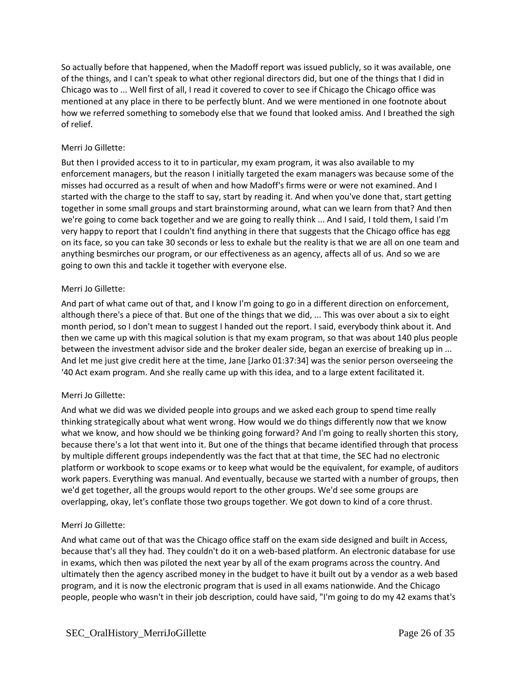So actually before that happened, when the Madoff report was issued publicly, so it was available, one of the things, and I can't speak to what other regional directors did, but one of the things that I did in Chicago was to ... Well first of all, I read it covered to cover to see if Chicago the Chicago office was mentioned at any place in there to be perfectly blunt. And we were mentioned in one footnote about how we referred something to somebody else that we found that looked amiss. And I breathed the sigh of relief.

## Merri Jo Gillette:

But then I provided access to it to in particular, my exam program, it was also available to my enforcement managers, but the reason I initially targeted the exam managers was because some of the misses had occurred as a result of when and how Madoff's firms were or were not examined. And I started with the charge to the staff to say, start by reading it. And when you've done that, start getting together in some small groups and start brainstorming around, what can we learn from that? And then we're going to come back together and we are going to really think ... And I said, I told them, I said I'm very happy to report that I couldn't find anything in there that suggests that the Chicago office has egg on its face, so you can take 30 seconds or less to exhale but the reality is that we are all on one team and anything besmirches our program, or our effectiveness as an agency, affects all of us. And so we are going to own this and tackle it together with everyone else.

## Merri Jo Gillette:

And part of what came out of that, and I know I'm going to go in a different direction on enforcement, although there's a piece of that. But one of the things that we did, ... This was over about a six to eight month period, so I don't mean to suggest I handed out the report. I said, everybody think about it. And then we came up with this magical solution is that my exam program, so that was about 140 plus people between the investment advisor side and the broker dealer side, began an exercise of breaking up in ... And let me just give credit here at the time, Jane [Jarko 01:37:34] was the senior person overseeing the '40 Act exam program. And she really came up with this idea, and to a large extent facilitated it.

## Merri Jo Gillette:

And what we did was we divided people into groups and we asked each group to spend time really thinking strategically about what went wrong. How would we do things differently now that we know what we know, and how should we be thinking going forward? And I'm going to really shorten this story, because there's a lot that went into it. But one of the things that became identified through that process by multiple different groups independently was the fact that at that time, the SEC had no electronic platform or workbook to scope exams or to keep what would be the equivalent, for example, of auditors work papers. Everything was manual. And eventually, because we started with a number of groups, then we'd get together, all the groups would report to the other groups. We'd see some groups are overlapping, okay, let's conflate those two groups together. We got down to kind of a core thrust.

## Merri Jo Gillette:

And what came out of that was the Chicago office staff on the exam side designed and built in Access, because that's all they had. They couldn't do it on a web-based platform. An electronic database for use in exams, which then was piloted the next year by all of the exam programs across the country. And ultimately then the agency ascribed money in the budget to have it built out by a vendor as a web based program, and it is now the electronic program that is used in all exams nationwide. And the Chicago people, people who wasn't in their job description, could have said, "I'm going to do my 42 exams that's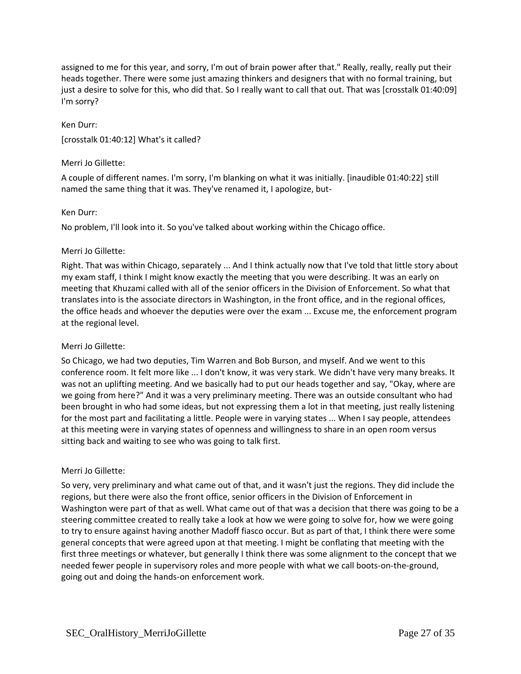assigned to me for this year, and sorry, I'm out of brain power after that." Really, really, really put their heads together. There were some just amazing thinkers and designers that with no formal training, but just a desire to solve for this, who did that. So I really want to call that out. That was [crosstalk 01:40:09] I'm sorry?

# Ken Durr: [crosstalk 01:40:12] What's it called?

## Merri Jo Gillette:

A couple of different names. I'm sorry, I'm blanking on what it was initially. [inaudible 01:40:22] still named the same thing that it was. They've renamed it, I apologize, but-

## Ken Durr:

No problem, I'll look into it. So you've talked about working within the Chicago office.

## Merri Jo Gillette:

Right. That was within Chicago, separately ... And I think actually now that I've told that little story about my exam staff, I think I might know exactly the meeting that you were describing. It was an early on meeting that Khuzami called with all of the senior officers in the Division of Enforcement. So what that translates into is the associate directors in Washington, in the front office, and in the regional offices, the office heads and whoever the deputies were over the exam ... Excuse me, the enforcement program at the regional level.

## Merri Jo Gillette:

So Chicago, we had two deputies, Tim Warren and Bob Burson, and myself. And we went to this conference room. It felt more like ... I don't know, it was very stark. We didn't have very many breaks. It was not an uplifting meeting. And we basically had to put our heads together and say, "Okay, where are we going from here?" And it was a very preliminary meeting. There was an outside consultant who had been brought in who had some ideas, but not expressing them a lot in that meeting, just really listening for the most part and facilitating a little. People were in varying states ... When I say people, attendees at this meeting were in varying states of openness and willingness to share in an open room versus sitting back and waiting to see who was going to talk first.

## Merri Jo Gillette:

So very, very preliminary and what came out of that, and it wasn't just the regions. They did include the regions, but there were also the front office, senior officers in the Division of Enforcement in Washington were part of that as well. What came out of that was a decision that there was going to be a steering committee created to really take a look at how we were going to solve for, how we were going to try to ensure against having another Madoff fiasco occur. But as part of that, I think there were some general concepts that were agreed upon at that meeting. I might be conflating that meeting with the first three meetings or whatever, but generally I think there was some alignment to the concept that we needed fewer people in supervisory roles and more people with what we call boots-on-the-ground, going out and doing the hands-on enforcement work.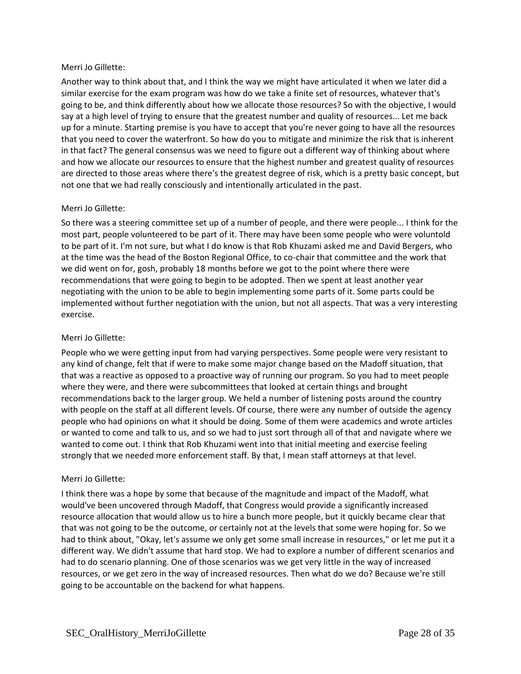Another way to think about that, and I think the way we might have articulated it when we later did a similar exercise for the exam program was how do we take a finite set of resources, whatever that's going to be, and think differently about how we allocate those resources? So with the objective, I would say at a high level of trying to ensure that the greatest number and quality of resources... Let me back up for a minute. Starting premise is you have to accept that you're never going to have all the resources that you need to cover the waterfront. So how do you to mitigate and minimize the risk that is inherent in that fact? The general consensus was we need to figure out a different way of thinking about where and how we allocate our resources to ensure that the highest number and greatest quality of resources are directed to those areas where there's the greatest degree of risk, which is a pretty basic concept, but not one that we had really consciously and intentionally articulated in the past.

## Merri Jo Gillette:

So there was a steering committee set up of a number of people, and there were people... I think for the most part, people volunteered to be part of it. There may have been some people who were voluntold to be part of it. I'm not sure, but what I do know is that Rob Khuzami asked me and David Bergers, who at the time was the head of the Boston Regional Office, to co-chair that committee and the work that we did went on for, gosh, probably 18 months before we got to the point where there were recommendations that were going to begin to be adopted. Then we spent at least another year negotiating with the union to be able to begin implementing some parts of it. Some parts could be implemented without further negotiation with the union, but not all aspects. That was a very interesting exercise.

## Merri Jo Gillette:

People who we were getting input from had varying perspectives. Some people were very resistant to any kind of change, felt that if were to make some major change based on the Madoff situation, that that was a reactive as opposed to a proactive way of running our program. So you had to meet people where they were, and there were subcommittees that looked at certain things and brought recommendations back to the larger group. We held a number of listening posts around the country with people on the staff at all different levels. Of course, there were any number of outside the agency people who had opinions on what it should be doing. Some of them were academics and wrote articles or wanted to come and talk to us, and so we had to just sort through all of that and navigate where we wanted to come out. I think that Rob Khuzami went into that initial meeting and exercise feeling strongly that we needed more enforcement staff. By that, I mean staff attorneys at that level.

## Merri Jo Gillette:

I think there was a hope by some that because of the magnitude and impact of the Madoff, what would've been uncovered through Madoff, that Congress would provide a significantly increased resource allocation that would allow us to hire a bunch more people, but it quickly became clear that that was not going to be the outcome, or certainly not at the levels that some were hoping for. So we had to think about, "Okay, let's assume we only get some small increase in resources," or let me put it a different way. We didn't assume that hard stop. We had to explore a number of different scenarios and had to do scenario planning. One of those scenarios was we get very little in the way of increased resources, or we get zero in the way of increased resources. Then what do we do? Because we're still going to be accountable on the backend for what happens.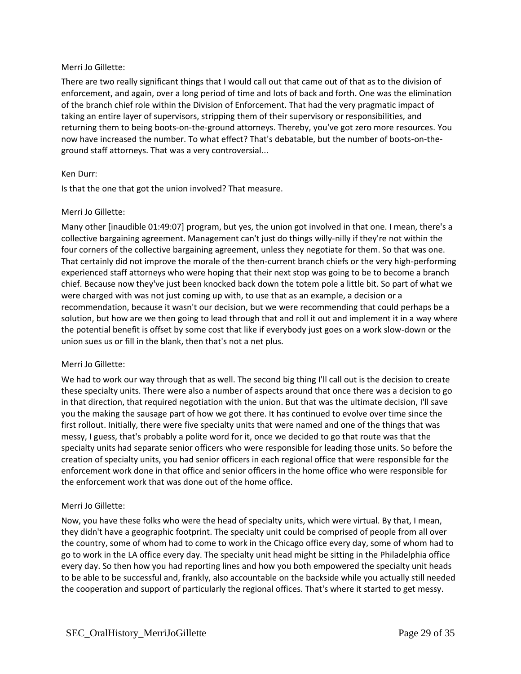There are two really significant things that I would call out that came out of that as to the division of enforcement, and again, over a long period of time and lots of back and forth. One was the elimination of the branch chief role within the Division of Enforcement. That had the very pragmatic impact of taking an entire layer of supervisors, stripping them of their supervisory or responsibilities, and returning them to being boots-on-the-ground attorneys. Thereby, you've got zero more resources. You now have increased the number. To what effect? That's debatable, but the number of boots-on-theground staff attorneys. That was a very controversial...

## Ken Durr:

Is that the one that got the union involved? That measure.

### Merri Jo Gillette:

Many other [inaudible 01:49:07] program, but yes, the union got involved in that one. I mean, there's a collective bargaining agreement. Management can't just do things willy-nilly if they're not within the four corners of the collective bargaining agreement, unless they negotiate for them. So that was one. That certainly did not improve the morale of the then-current branch chiefs or the very high-performing experienced staff attorneys who were hoping that their next stop was going to be to become a branch chief. Because now they've just been knocked back down the totem pole a little bit. So part of what we were charged with was not just coming up with, to use that as an example, a decision or a recommendation, because it wasn't our decision, but we were recommending that could perhaps be a solution, but how are we then going to lead through that and roll it out and implement it in a way where the potential benefit is offset by some cost that like if everybody just goes on a work slow-down or the union sues us or fill in the blank, then that's not a net plus.

## Merri Jo Gillette:

We had to work our way through that as well. The second big thing I'll call out is the decision to create these specialty units. There were also a number of aspects around that once there was a decision to go in that direction, that required negotiation with the union. But that was the ultimate decision, I'll save you the making the sausage part of how we got there. It has continued to evolve over time since the first rollout. Initially, there were five specialty units that were named and one of the things that was messy, I guess, that's probably a polite word for it, once we decided to go that route was that the specialty units had separate senior officers who were responsible for leading those units. So before the creation of specialty units, you had senior officers in each regional office that were responsible for the enforcement work done in that office and senior officers in the home office who were responsible for the enforcement work that was done out of the home office.

## Merri Jo Gillette:

Now, you have these folks who were the head of specialty units, which were virtual. By that, I mean, they didn't have a geographic footprint. The specialty unit could be comprised of people from all over the country, some of whom had to come to work in the Chicago office every day, some of whom had to go to work in the LA office every day. The specialty unit head might be sitting in the Philadelphia office every day. So then how you had reporting lines and how you both empowered the specialty unit heads to be able to be successful and, frankly, also accountable on the backside while you actually still needed the cooperation and support of particularly the regional offices. That's where it started to get messy.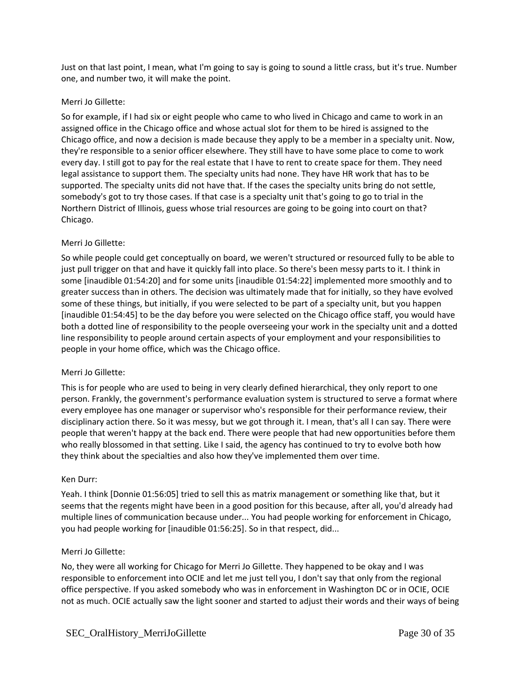Just on that last point, I mean, what I'm going to say is going to sound a little crass, but it's true. Number one, and number two, it will make the point.

## Merri Jo Gillette:

So for example, if I had six or eight people who came to who lived in Chicago and came to work in an assigned office in the Chicago office and whose actual slot for them to be hired is assigned to the Chicago office, and now a decision is made because they apply to be a member in a specialty unit. Now, they're responsible to a senior officer elsewhere. They still have to have some place to come to work every day. I still got to pay for the real estate that I have to rent to create space for them. They need legal assistance to support them. The specialty units had none. They have HR work that has to be supported. The specialty units did not have that. If the cases the specialty units bring do not settle, somebody's got to try those cases. If that case is a specialty unit that's going to go to trial in the Northern District of Illinois, guess whose trial resources are going to be going into court on that? Chicago.

## Merri Jo Gillette:

So while people could get conceptually on board, we weren't structured or resourced fully to be able to just pull trigger on that and have it quickly fall into place. So there's been messy parts to it. I think in some [inaudible 01:54:20] and for some units [inaudible 01:54:22] implemented more smoothly and to greater success than in others. The decision was ultimately made that for initially, so they have evolved some of these things, but initially, if you were selected to be part of a specialty unit, but you happen [inaudible 01:54:45] to be the day before you were selected on the Chicago office staff, you would have both a dotted line of responsibility to the people overseeing your work in the specialty unit and a dotted line responsibility to people around certain aspects of your employment and your responsibilities to people in your home office, which was the Chicago office.

## Merri Jo Gillette:

This is for people who are used to being in very clearly defined hierarchical, they only report to one person. Frankly, the government's performance evaluation system is structured to serve a format where every employee has one manager or supervisor who's responsible for their performance review, their disciplinary action there. So it was messy, but we got through it. I mean, that's all I can say. There were people that weren't happy at the back end. There were people that had new opportunities before them who really blossomed in that setting. Like I said, the agency has continued to try to evolve both how they think about the specialties and also how they've implemented them over time.

### Ken Durr:

Yeah. I think [Donnie 01:56:05] tried to sell this as matrix management or something like that, but it seems that the regents might have been in a good position for this because, after all, you'd already had multiple lines of communication because under... You had people working for enforcement in Chicago, you had people working for [inaudible 01:56:25]. So in that respect, did...

### Merri Jo Gillette:

No, they were all working for Chicago for Merri Jo Gillette. They happened to be okay and I was responsible to enforcement into OCIE and let me just tell you, I don't say that only from the regional office perspective. If you asked somebody who was in enforcement in Washington DC or in OCIE, OCIE not as much. OCIE actually saw the light sooner and started to adjust their words and their ways of being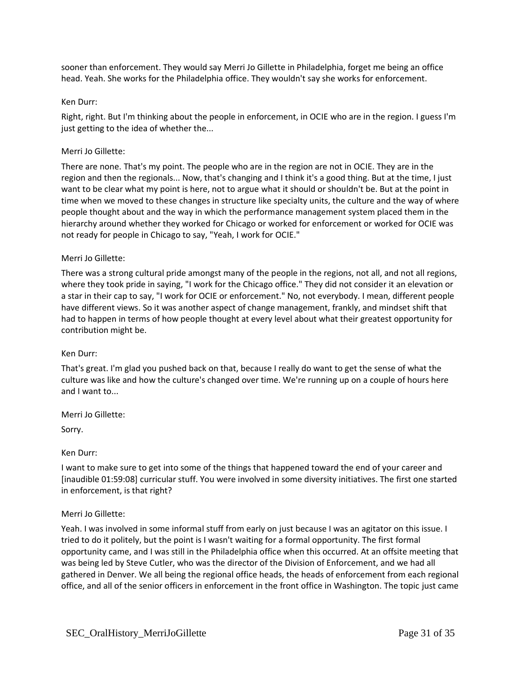sooner than enforcement. They would say Merri Jo Gillette in Philadelphia, forget me being an office head. Yeah. She works for the Philadelphia office. They wouldn't say she works for enforcement.

### Ken Durr:

Right, right. But I'm thinking about the people in enforcement, in OCIE who are in the region. I guess I'm just getting to the idea of whether the...

### Merri Jo Gillette:

There are none. That's my point. The people who are in the region are not in OCIE. They are in the region and then the regionals... Now, that's changing and I think it's a good thing. But at the time, I just want to be clear what my point is here, not to argue what it should or shouldn't be. But at the point in time when we moved to these changes in structure like specialty units, the culture and the way of where people thought about and the way in which the performance management system placed them in the hierarchy around whether they worked for Chicago or worked for enforcement or worked for OCIE was not ready for people in Chicago to say, "Yeah, I work for OCIE."

### Merri Jo Gillette:

There was a strong cultural pride amongst many of the people in the regions, not all, and not all regions, where they took pride in saying, "I work for the Chicago office." They did not consider it an elevation or a star in their cap to say, "I work for OCIE or enforcement." No, not everybody. I mean, different people have different views. So it was another aspect of change management, frankly, and mindset shift that had to happen in terms of how people thought at every level about what their greatest opportunity for contribution might be.

### Ken Durr:

That's great. I'm glad you pushed back on that, because I really do want to get the sense of what the culture was like and how the culture's changed over time. We're running up on a couple of hours here and I want to...

Merri Jo Gillette:

Sorry.

### Ken Durr:

I want to make sure to get into some of the things that happened toward the end of your career and [inaudible 01:59:08] curricular stuff. You were involved in some diversity initiatives. The first one started in enforcement, is that right?

## Merri Jo Gillette:

Yeah. I was involved in some informal stuff from early on just because I was an agitator on this issue. I tried to do it politely, but the point is I wasn't waiting for a formal opportunity. The first formal opportunity came, and I was still in the Philadelphia office when this occurred. At an offsite meeting that was being led by Steve Cutler, who was the director of the Division of Enforcement, and we had all gathered in Denver. We all being the regional office heads, the heads of enforcement from each regional office, and all of the senior officers in enforcement in the front office in Washington. The topic just came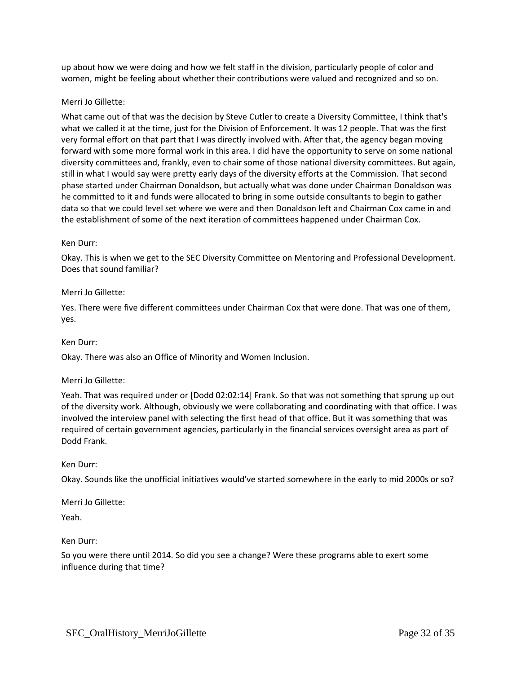up about how we were doing and how we felt staff in the division, particularly people of color and women, might be feeling about whether their contributions were valued and recognized and so on.

## Merri Jo Gillette:

What came out of that was the decision by Steve Cutler to create a Diversity Committee, I think that's what we called it at the time, just for the Division of Enforcement. It was 12 people. That was the first very formal effort on that part that I was directly involved with. After that, the agency began moving forward with some more formal work in this area. I did have the opportunity to serve on some national diversity committees and, frankly, even to chair some of those national diversity committees. But again, still in what I would say were pretty early days of the diversity efforts at the Commission. That second phase started under Chairman Donaldson, but actually what was done under Chairman Donaldson was he committed to it and funds were allocated to bring in some outside consultants to begin to gather data so that we could level set where we were and then Donaldson left and Chairman Cox came in and the establishment of some of the next iteration of committees happened under Chairman Cox.

### Ken Durr:

Okay. This is when we get to the SEC Diversity Committee on Mentoring and Professional Development. Does that sound familiar?

## Merri Jo Gillette:

Yes. There were five different committees under Chairman Cox that were done. That was one of them, yes.

### Ken Durr:

Okay. There was also an Office of Minority and Women Inclusion.

### Merri Jo Gillette:

Yeah. That was required under or [Dodd 02:02:14] Frank. So that was not something that sprung up out of the diversity work. Although, obviously we were collaborating and coordinating with that office. I was involved the interview panel with selecting the first head of that office. But it was something that was required of certain government agencies, particularly in the financial services oversight area as part of Dodd Frank.

### Ken Durr:

Okay. Sounds like the unofficial initiatives would've started somewhere in the early to mid 2000s or so?

Merri Jo Gillette:

Yeah.

Ken Durr:

So you were there until 2014. So did you see a change? Were these programs able to exert some influence during that time?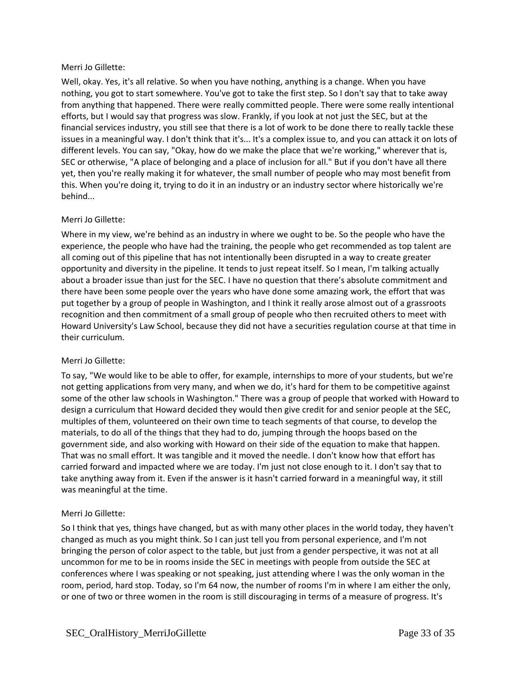Well, okay. Yes, it's all relative. So when you have nothing, anything is a change. When you have nothing, you got to start somewhere. You've got to take the first step. So I don't say that to take away from anything that happened. There were really committed people. There were some really intentional efforts, but I would say that progress was slow. Frankly, if you look at not just the SEC, but at the financial services industry, you still see that there is a lot of work to be done there to really tackle these issues in a meaningful way. I don't think that it's... It's a complex issue to, and you can attack it on lots of different levels. You can say, "Okay, how do we make the place that we're working," wherever that is, SEC or otherwise, "A place of belonging and a place of inclusion for all." But if you don't have all there yet, then you're really making it for whatever, the small number of people who may most benefit from this. When you're doing it, trying to do it in an industry or an industry sector where historically we're behind...

## Merri Jo Gillette:

Where in my view, we're behind as an industry in where we ought to be. So the people who have the experience, the people who have had the training, the people who get recommended as top talent are all coming out of this pipeline that has not intentionally been disrupted in a way to create greater opportunity and diversity in the pipeline. It tends to just repeat itself. So I mean, I'm talking actually about a broader issue than just for the SEC. I have no question that there's absolute commitment and there have been some people over the years who have done some amazing work, the effort that was put together by a group of people in Washington, and I think it really arose almost out of a grassroots recognition and then commitment of a small group of people who then recruited others to meet with Howard University's Law School, because they did not have a securities regulation course at that time in their curriculum.

## Merri Jo Gillette:

To say, "We would like to be able to offer, for example, internships to more of your students, but we're not getting applications from very many, and when we do, it's hard for them to be competitive against some of the other law schools in Washington." There was a group of people that worked with Howard to design a curriculum that Howard decided they would then give credit for and senior people at the SEC, multiples of them, volunteered on their own time to teach segments of that course, to develop the materials, to do all of the things that they had to do, jumping through the hoops based on the government side, and also working with Howard on their side of the equation to make that happen. That was no small effort. It was tangible and it moved the needle. I don't know how that effort has carried forward and impacted where we are today. I'm just not close enough to it. I don't say that to take anything away from it. Even if the answer is it hasn't carried forward in a meaningful way, it still was meaningful at the time.

## Merri Jo Gillette:

So I think that yes, things have changed, but as with many other places in the world today, they haven't changed as much as you might think. So I can just tell you from personal experience, and I'm not bringing the person of color aspect to the table, but just from a gender perspective, it was not at all uncommon for me to be in rooms inside the SEC in meetings with people from outside the SEC at conferences where I was speaking or not speaking, just attending where I was the only woman in the room, period, hard stop. Today, so I'm 64 now, the number of rooms I'm in where I am either the only, or one of two or three women in the room is still discouraging in terms of a measure of progress. It's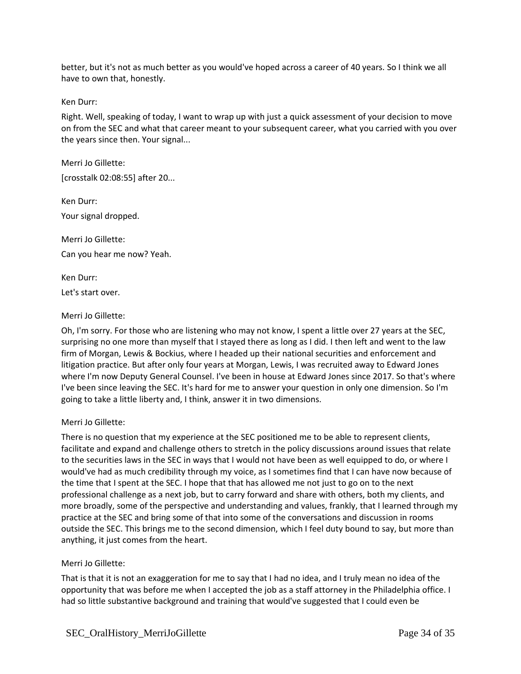better, but it's not as much better as you would've hoped across a career of 40 years. So I think we all have to own that, honestly.

### Ken Durr:

Right. Well, speaking of today, I want to wrap up with just a quick assessment of your decision to move on from the SEC and what that career meant to your subsequent career, what you carried with you over the years since then. Your signal...

Merri Jo Gillette: [crosstalk 02:08:55] after 20...

Ken Durr: Your signal dropped.

Merri Jo Gillette: Can you hear me now? Yeah.

Ken Durr:

Let's start over.

## Merri Jo Gillette:

Oh, I'm sorry. For those who are listening who may not know, I spent a little over 27 years at the SEC, surprising no one more than myself that I stayed there as long as I did. I then left and went to the law firm of Morgan, Lewis & Bockius, where I headed up their national securities and enforcement and litigation practice. But after only four years at Morgan, Lewis, I was recruited away to Edward Jones where I'm now Deputy General Counsel. I've been in house at Edward Jones since 2017. So that's where I've been since leaving the SEC. It's hard for me to answer your question in only one dimension. So I'm going to take a little liberty and, I think, answer it in two dimensions.

## Merri Jo Gillette:

There is no question that my experience at the SEC positioned me to be able to represent clients, facilitate and expand and challenge others to stretch in the policy discussions around issues that relate to the securities laws in the SEC in ways that I would not have been as well equipped to do, or where I would've had as much credibility through my voice, as I sometimes find that I can have now because of the time that I spent at the SEC. I hope that that has allowed me not just to go on to the next professional challenge as a next job, but to carry forward and share with others, both my clients, and more broadly, some of the perspective and understanding and values, frankly, that I learned through my practice at the SEC and bring some of that into some of the conversations and discussion in rooms outside the SEC. This brings me to the second dimension, which I feel duty bound to say, but more than anything, it just comes from the heart.

## Merri Jo Gillette:

That is that it is not an exaggeration for me to say that I had no idea, and I truly mean no idea of the opportunity that was before me when I accepted the job as a staff attorney in the Philadelphia office. I had so little substantive background and training that would've suggested that I could even be